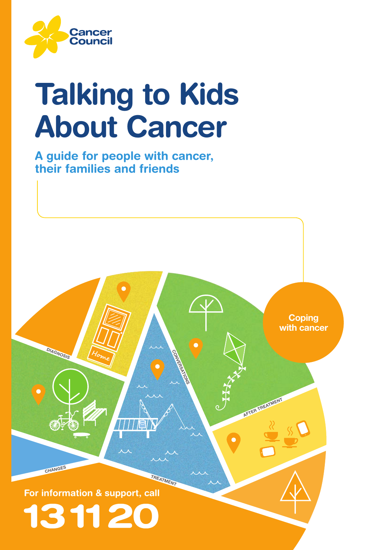

# Talking to Kids About Cancer

A guide for people with cancer, their families and friends

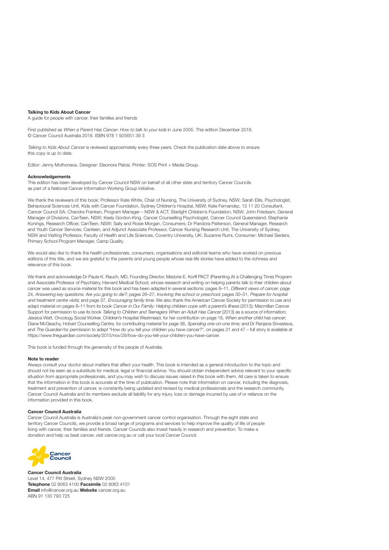#### Talking to Kids About Cancer

A guide for people with cancer, their families and friends

First published as When a Parent Has Cancer: How to talk to your kids in June 2005. This edition December 2018. © Cancer Council Australia 2018. ISBN 978 1 925651 39 3

Talking to Kids About Cancer is reviewed approximately every three years. Check the publication date above to ensure this copy is up to date.

Editor: Jenny Mothoneos. Designer: Eleonora Pelosi. Printer: SOS Print + Media Group.

#### Acknowledgements

This edition has been developed by Cancer Council NSW on behalf of all other state and territory Cancer Councils as part of a National Cancer Information Working Group initiative.

We thank the reviewers of this book: Professor Kate White, Chair of Nursing, The University of Sydney, NSW; Sarah Ellis, Psychologist, Behavioural Sciences Unit, Kids with Cancer Foundation, Sydney Children's Hospital, NSW; Kate Fernandez, 13 11 20 Consultant, Cancer Council SA; Chandra Franken, Program Manager – NSW & ACT, Starlight Children's Foundation, NSW; John Friedsam, General Manager of Divisions, CanTeen, NSW; Keely Gordon-King, Cancer Counselling Psychologist, Cancer Council Queensland; Stephanie Konings, Research Officer, CanTeen, NSW; Sally and Rosie Morgan, Consumers; Dr Pandora Patterson, General Manager, Research and Youth Cancer Services, Canteen, and Adjunct Associate Professor, Cancer Nursing Research Unit, The University of Sydney, NSW and Visiting Professor, Faculty of Health and Life Sciences, Coventry University, UK; Suzanne Rumi, Consumer; Michael Sieders, Primary School Program Manager, Camp Quality.

We would also like to thank the health professionals, consumers, organisations and editorial teams who have worked on previous editions of this title, and we are grateful to the parents and young people whose real-life stories have added to the richness and relevance of this book.

We thank and acknowledge Dr Paula K. Rauch, MD, Founding Director, Marjorie E. Korff PACT (Parenting At a Challenging Time) Program and Associate Professor of Psychiatry, Harvard Medical School, whose research and writing on helping parents talk to their children about cancer was used as source material for this book and has been adapted in several sections: pages 8-11, Different views of cancer, page 24, Answering key questions: Are you going to die?; pages 26–27, Involving the school or preschool; pages 30–31, Prepare for hospital and treatment centre visits; and page 37, Encouraging family time. We also thank the American Cancer Society for permission to use and adapt material on pages 8-11 from its book Cancer in Our Family: Helping children cope with a parent's illness (2013); Macmillan Cancer Support for permission to use its book Talking to Children and Teenagers When an Adult Has Cancer (2013) as a source of information: Jessica Watt, Oncology Social Worker, Children's Hospital Westmead, for her contribution on page 18, When another child has cancer; Diane McGeachy, Hobart Counselling Centre, for contributing material for page 38, Spending one-on-one time; and Dr Ranjana Srivastava, and The Guardian for permission to adapt "How do you tell your children you have cancer?", on pages 21 and 47 - full story is available at [https://www.theguardian.com/society/2015/nov/29/how-do-you-tell-your-children-you-have-cancer.](https://www.theguardian.com/society/2015/nov/29/how-do-you-tell-your-children-you-have-cancer)

This book is funded through the generosity of the people of Australia.

#### Note to reader

Always consult your doctor about matters that affect your health. This book is intended as a general introduction to the topic and should not be seen as a substitute for medical, legal or financial advice. You should obtain independent advice relevant to your specific situation from appropriate professionals, and you may wish to discuss issues raised in this book with them. All care is taken to ensure that the information in this book is accurate at the time of publication. Please note that information on cancer, including the diagnosis, treatment and prevention of cancer, is constantly being updated and revised by medical professionals and the research community. Cancer Council Australia and its members exclude all liability for any injury, loss or damage incurred by use of or reliance on the information provided in this book.

#### Cancer Council Australia

Cancer Council Australia is Australia's peak non-government cancer control organisation. Through the eight state and territory Cancer Councils, we provide a broad range of programs and services to help improve the quality of life of people living with cancer, their families and friends. Cancer Councils also invest heavily in research and prevention. To make a donation and help us beat cancer, visit [cancer.org.au](http://cancer.org.au) or call your local Cancer Council.



Cancer Council Australia Level 14, 477 Pitt Street, Sydney NSW 2000 Telephone 02 8063 4100 Facsimile 02 8063 4101 Email [info@cancer.org.au](mailto:info@cancer.org.au) Website <cancer.org.au> ABN 91 130 793 725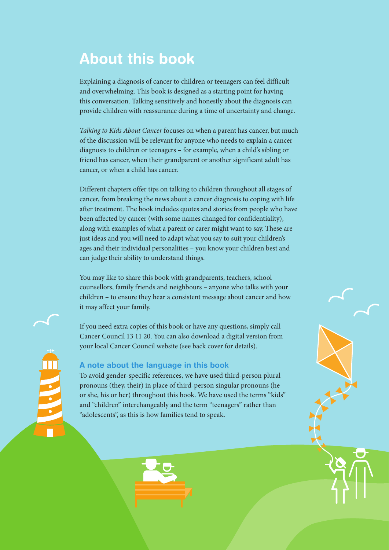# About this book

Explaining a diagnosis of cancer to children or teenagers can feel difficult and overwhelming. This book is designed as a starting point for having this conversation. Talking sensitively and honestly about the diagnosis can provide children with reassurance during a time of uncertainty and change.

*Talking to Kids About Cancer* focuses on when a parent has cancer, but much of the discussion will be relevant for anyone who needs to explain a cancer diagnosis to children or teenagers – for example, when a child's sibling or friend has cancer, when their grandparent or another significant adult has cancer, or when a child has cancer.

Different chapters offer tips on talking to children throughout all stages of cancer, from breaking the news about a cancer diagnosis to coping with life after treatment. The book includes quotes and stories from people who have been affected by cancer (with some names changed for confidentiality), along with examples of what a parent or carer might want to say. These are just ideas and you will need to adapt what you say to suit your children's ages and their individual personalities – you know your children best and can judge their ability to understand things.

You may like to share this book with grandparents, teachers, school counsellors, family friends and neighbours – anyone who talks with your children – to ensure they hear a consistent message about cancer and how it may affect your family.

If you need extra copies of this book or have any questions, simply call Cancer Council 13 11 20. You can also download a digital version from your local Cancer Council website (see back cover for details).

#### A note about the language in this book

To avoid gender-specific references, we have used third-person plural pronouns (they, their) in place of third-person singular pronouns (he or she, his or her) throughout this book. We have used the terms "kids" and "children" interchangeably and the term "teenagers" rather than "adolescents", as this is how families tend to speak.



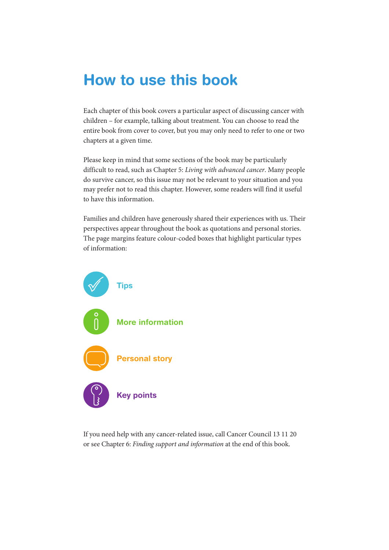# How to use this book

Each chapter of this book covers a particular aspect of discussing cancer with children – for example, talking about treatment. You can choose to read the entire book from cover to cover, but you may only need to refer to one or two chapters at a given time.

Please keep in mind that some sections of the book may be particularly difficult to read, such as Chapter 5: *Living with advanced cancer*. Many people do survive cancer, so this issue may not be relevant to your situation and you may prefer not to read this chapter. However, some readers will find it useful to have this information.

Families and children have generously shared their experiences with us. Their perspectives appear throughout the book as quotations and personal stories. The page margins feature colour-coded boxes that highlight particular types of information:



If you need help with any cancer-related issue, call Cancer Council 13 11 20 or see Chapter 6: *Finding support and information* at the end of this book.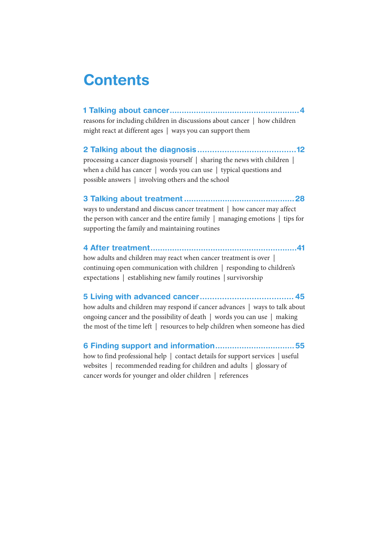# **Contents**

[1 Talking about cancer......................................................4](#page-5-0)

reasons for including children in discussions about cancer | how children might react at different ages | ways you can support them

[2 Talking about the diagnosis........................................12](#page-13-0)

processing a cancer diagnosis yourself | sharing the news with children | when a child has cancer | words you can use | typical questions and possible answers | involving others and the school

#### [3 Talking about treatment..............................................28](#page-29-0)

ways to understand and discuss cancer treatment | how cancer may affect the person with cancer and the entire family | managing emotions | tips for supporting the family and maintaining routines

#### [4 After treatment.............................................................41](#page-42-0)

how adults and children may react when cancer treatment is over | continuing open communication with children | responding to children's expectations | establishing new family routines | survivorship

#### [5 Living with advanced cancer......................................](#page-46-0) 45

how adults and children may respond if cancer advances | ways to talk about ongoing cancer and the possibility of death | words you can use | making the most of the time left | resources to help children when someone has died

[6 Finding support and information.................................55](#page-56-0)

how to find professional help | contact details for support services | useful websites | recommended reading for children and adults | glossary of cancer words for younger and older children | references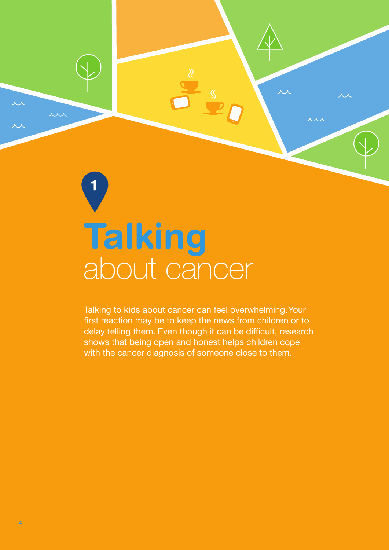# <span id="page-5-0"></span>about cancer Talking

1

Talking to kids about cancer can feel overwhelming. Your first reaction may be to keep the news from children or to delay telling them. Even though it can be difficult, research shows that being open and honest helps children cope with the cancer diagnosis of someone close to them.

 $\overline{\mathcal{M}}$ 

**AAA**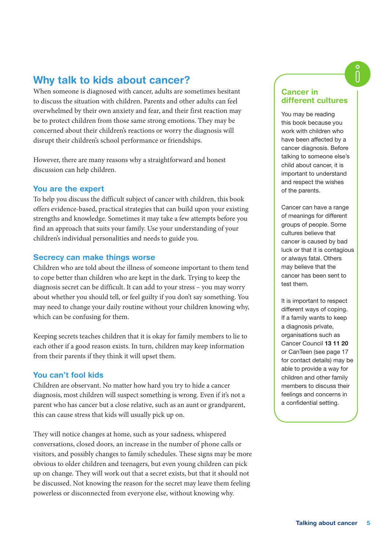#### Why talk to kids about cancer?

When someone is diagnosed with cancer, adults are sometimes hesitant to discuss the situation with children. Parents and other adults can feel overwhelmed by their own anxiety and fear, and their first reaction may be to protect children from those same strong emotions. They may be concerned about their children's reactions or worry the diagnosis will disrupt their children's school performance or friendships.

However, there are many reasons why a straightforward and honest discussion can help children.

#### You are the expert

To help you discuss the difficult subject of cancer with children, this book offers evidence-based, practical strategies that can build upon your existing strengths and knowledge. Sometimes it may take a few attempts before you find an approach that suits your family. Use your understanding of your children's individual personalities and needs to guide you.

#### Secrecy can make things worse

Children who are told about the illness of someone important to them tend to cope better than children who are kept in the dark. Trying to keep the diagnosis secret can be difficult. It can add to your stress – you may worry about whether you should tell, or feel guilty if you don't say something. You may need to change your daily routine without your children knowing why, which can be confusing for them.

Keeping secrets teaches children that it is okay for family members to lie to each other if a good reason exists. In turn, children may keep information from their parents if they think it will upset them.

#### You can't fool kids

Children are observant. No matter how hard you try to hide a cancer diagnosis, most children will suspect something is wrong. Even if it's not a parent who has cancer but a close relative, such as an aunt or grandparent, this can cause stress that kids will usually pick up on.

They will notice changes at home, such as your sadness, whispered conversations, closed doors, an increase in the number of phone calls or visitors, and possibly changes to family schedules. These signs may be more obvious to older children and teenagers, but even young children can pick up on change. They will work out that a secret exists, but that it should not be discussed. Not knowing the reason for the secret may leave them feeling powerless or disconnected from everyone else, without knowing why.

#### Cancer in different cultures

You may be reading this book because you work with children who have been affected by a cancer diagnosis. Before talking to someone else's child about cancer, it is important to understand and respect the wishes of the parents.

Cancer can have a range of meanings for different groups of people. Some cultures believe that cancer is caused by bad luck or that it is contagious or always fatal. Others may believe that the cancer has been sent to test them.

It is important to respect different ways of coping. If a family wants to keep a diagnosis private, organisations such as Cancer Council 13 11 20 or CanTeen (see page 17 for contact details) may be able to provide a way for children and other family members to discuss their feelings and concerns in a confidential setting.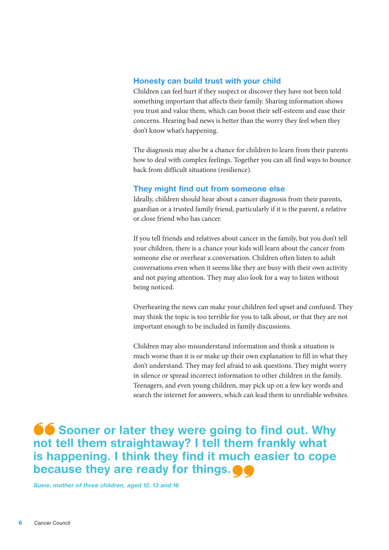#### Honesty can build trust with your child

Children can feel hurt if they suspect or discover they have not been told something important that affects their family. Sharing information shows you trust and value them, which can boost their self-esteem and ease their concerns. Hearing bad news is better than the worry they feel when they don't know what's happening.

The diagnosis may also be a chance for children to learn from their parents how to deal with complex feelings. Together you can all find ways to bounce back from difficult situations (resilience).

#### They might find out from someone else

Ideally, children should hear about a cancer diagnosis from their parents, guardian or a trusted family friend, particularly if it is the parent, a relative or close friend who has cancer.

If you tell friends and relatives about cancer in the family, but you don't tell your children, there is a chance your kids will learn about the cancer from someone else or overhear a conversation. Children often listen to adult conversations even when it seems like they are busy with their own activity and not paying attention. They may also look for a way to listen without being noticed.

Overhearing the news can make your children feel upset and confused. They may think the topic is too terrible for you to talk about, or that they are not important enough to be included in family discussions.

Children may also misunderstand information and think a situation is much worse than it is or make up their own explanation to fill in what they don't understand. They may feel afraid to ask questions. They might worry in silence or spread incorrect information to other children in the family. Teenagers, and even young children, may pick up on a few key words and search the internet for answers, which can lead them to unreliable websites.

**Sooner or later they were going to find out. Why** not tell them straightaway? I tell them frankly what is happening. I think they find it much easier to cope because they are ready for things.  $\bullet$ 

Susie, mother of three children, aged 12, 13 and 16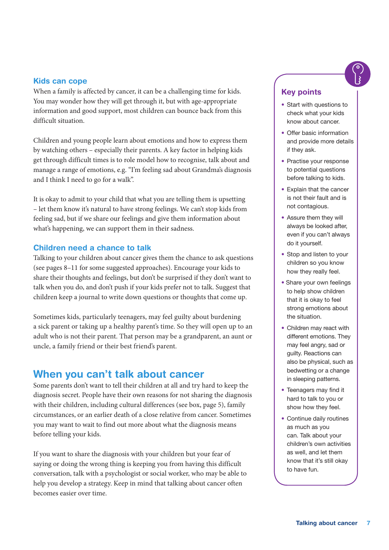#### Kids can cope

When a family is affected by cancer, it can be a challenging time for kids. You may wonder how they will get through it, but with age-appropriate information and good support, most children can bounce back from this difficult situation.

Children and young people learn about emotions and how to express them by watching others – especially their parents. A key factor in helping kids get through difficult times is to role model how to recognise, talk about and manage a range of emotions, e.g. "I'm feeling sad about Grandma's diagnosis and I think I need to go for a walk".

It is okay to admit to your child that what you are telling them is upsetting – let them know it's natural to have strong feelings. We can't stop kids from feeling sad, but if we share our feelings and give them information about what's happening, we can support them in their sadness.

#### Children need a chance to talk

Talking to your children about cancer gives them the chance to ask questions (see pages 8–11 for some suggested approaches). Encourage your kids to share their thoughts and feelings, but don't be surprised if they don't want to talk when you do, and don't push if your kids prefer not to talk. Suggest that children keep a journal to write down questions or thoughts that come up.

Sometimes kids, particularly teenagers, may feel guilty about burdening a sick parent or taking up a healthy parent's time. So they will open up to an adult who is not their parent. That person may be a grandparent, an aunt or uncle, a family friend or their best friend's parent.

#### When you can't talk about cancer

Some parents don't want to tell their children at all and try hard to keep the diagnosis secret. People have their own reasons for not sharing the diagnosis with their children, including cultural differences (see box, page 5), family circumstances, or an earlier death of a close relative from cancer. Sometimes you may want to wait to find out more about what the diagnosis means before telling your kids.

If you want to share the diagnosis with your children but your fear of saying or doing the wrong thing is keeping you from having this difficult conversation, talk with a psychologist or social worker, who may be able to help you develop a strategy. Keep in mind that talking about cancer often becomes easier over time.

#### Key points

- Start with questions to check what your kids know about cancer.
- Offer basic information and provide more details if they ask.
- Practise your response to potential questions before talking to kids.
- Explain that the cancer is not their fault and is not contagious.
- Assure them they will always be looked after, even if you can't always do it yourself.
- Stop and listen to your children so you know how they really feel.
- Share your own feelings to help show children that it is okay to feel strong emotions about the situation.
- Children may react with different emotions. They may feel angry, sad or guilty. Reactions can also be physical, such as bedwetting or a change in sleeping patterns.
- Teenagers may find it hard to talk to you or show how they feel.
- Continue daily routines as much as you can. Talk about your children's own activities as well, and let them know that it's still okay to have fun.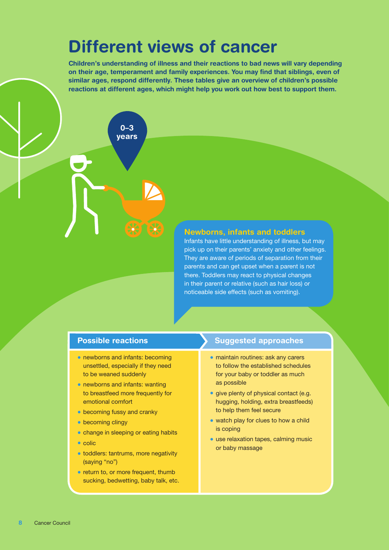# Different views of cancer

Children's understanding of illness and their reactions to bad news will vary depending on their age, temperament and family experiences. You may find that siblings, even of similar ages, respond differently. These tables give an overview of children's possible reactions at different ages, which might help you work out how best to support them.

> 0–3 years

#### Newborns, infants and toddlers

Infants have little understanding of illness, but may pick up on their parents' anxiety and other feelings. They are aware of periods of separation from their parents and can get upset when a parent is not there. Toddlers may react to physical changes in their parent or relative (such as hair loss) or noticeable side effects (such as vomiting).

#### Possible reactions

- newborns and infants: becoming unsettled, especially if they need to be weaned suddenly
- newborns and infants: wanting to breastfeed more frequently for emotional comfort
- becoming fussy and cranky
- becoming clingy
- change in sleeping or eating habits
- colic
- toddlers: tantrums, more negativity (saying "no")
- return to, or more frequent, thumb sucking, bedwetting, baby talk, etc.

- maintain routines: ask any carers to follow the established schedules for your baby or toddler as much as possible
- give plenty of physical contact (e.g. hugging, holding, extra breastfeeds) to help them feel secure
- watch play for clues to how a child is coping
- use relaxation tapes, calming music or baby massage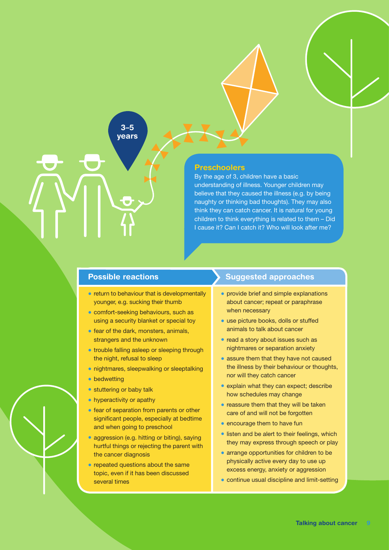#### 3–5 years

#### Preschoolers

By the age of 3, children have a basic understanding of illness. Younger children may believe that they caused the illness (e.g. by being naughty or thinking bad thoughts). They may also think they can catch cancer. It is natural for young children to think everything is related to them – Did I cause it? Can I catch it? Who will look after me?

#### Possible reactions

- return to behaviour that is developmentally younger, e.g. sucking their thumb
- comfort-seeking behaviours, such as using a security blanket or special toy
- fear of the dark, monsters, animals, strangers and the unknown
- trouble falling asleep or sleeping through the night, refusal to sleep
- nightmares, sleepwalking or sleeptalking
- bedwetting
- stuttering or baby talk
- hyperactivity or apathy
- fear of separation from parents or other significant people, especially at bedtime and when going to preschool
- aggression (e.g. hitting or biting), saying hurtful things or rejecting the parent with the cancer diagnosis
- repeated questions about the same topic, even if it has been discussed several times

- provide brief and simple explanations about cancer; repeat or paraphrase when necessary
- use picture books, dolls or stuffed animals to talk about cancer
- read a story about issues such as nightmares or separation anxiety
- assure them that they have not caused the illness by their behaviour or thoughts, nor will they catch cancer
- explain what they can expect; describe how schedules may change
- reassure them that they will be taken care of and will not be forgotten
- encourage them to have fun
- listen and be alert to their feelings, which they may express through speech or play
- arrange opportunities for children to be physically active every day to use up excess energy, anxiety or aggression
- continue usual discipline and limit-setting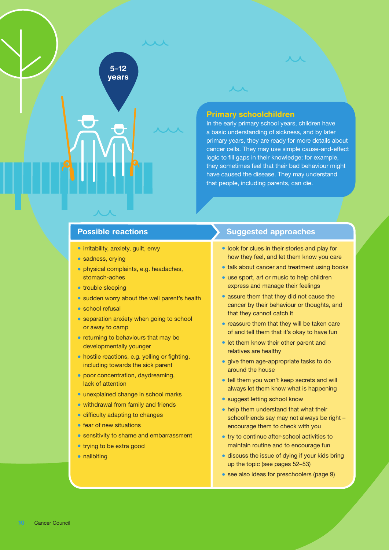#### Primary schoolchildren

 $\overline{\mathcal{M}}$ 

In the early primary school years, children have a basic understanding of sickness, and by later primary years, they are ready for more details about cancer cells. They may use simple cause-and-effect logic to fill gaps in their knowledge; for example, they sometimes feel that their bad behaviour might have caused the disease. They may understand that people, including parents, can die.

#### Possible reactions

• irritability, anxiety, guilt, envy

5–12 years **A** A

- sadness, crying
- physical complaints, e.g. headaches, stomach-aches
- trouble sleeping
- sudden worry about the well parent's health
- school refusal
- separation anxiety when going to school or away to camp
- returning to behaviours that may be developmentally younger
- hostile reactions, e.g. yelling or fighting, including towards the sick parent
- poor concentration, daydreaming, lack of attention
- unexplained change in school marks
- withdrawal from family and friends
- difficulty adapting to changes
- fear of new situations
- sensitivity to shame and embarrassment
- trying to be extra good
- nailbiting

- look for clues in their stories and play for how they feel, and let them know you care
- talk about cancer and treatment using books
- use sport, art or music to help children express and manage their feelings
- assure them that they did not cause the cancer by their behaviour or thoughts, and that they cannot catch it
- reassure them that they will be taken care of and tell them that it's okay to have fun
- let them know their other parent and relatives are healthy
- give them age-appropriate tasks to do around the house
- tell them you won't keep secrets and will always let them know what is happening
- suggest letting school know
- help them understand that what their schoolfriends say may not always be right – encourage them to check with you
- try to continue after-school activities to maintain routine and to encourage fun
- discuss the issue of dying if your kids bring up the topic (see pages 52–53)
- see also ideas for preschoolers (page 9)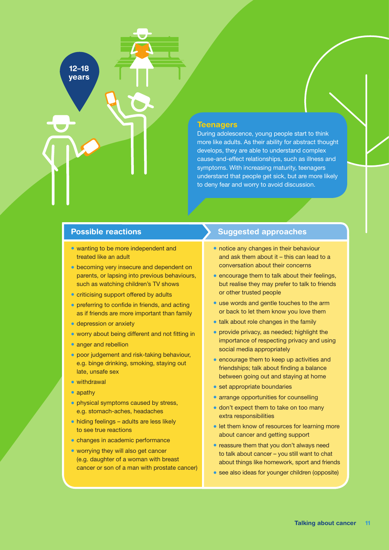#### **Teenagers**

During adolescence, young people start to think more like adults. As their ability for abstract thought develops, they are able to understand complex cause-and-effect relationships, such as illness and symptoms. With increasing maturity, teenagers understand that people get sick, but are more likely to deny fear and worry to avoid discussion.

#### Possible reactions

12–18 years

- wanting to be more independent and treated like an adult
- becoming very insecure and dependent on parents, or lapsing into previous behaviours, such as watching children's TV shows
- criticising support offered by adults
- preferring to confide in friends, and acting as if friends are more important than family
- depression or anxiety
- worry about being different and not fitting in
- anger and rebellion
- poor judgement and risk-taking behaviour, e.g. binge drinking, smoking, staying out late, unsafe sex
- withdrawal
- apathy
- physical symptoms caused by stress, e.g. stomach-aches, headaches
- hiding feelings adults are less likely to see true reactions
- changes in academic performance
- worrying they will also get cancer (e.g. daughter of a woman with breast cancer or son of a man with prostate cancer)

- notice any changes in their behaviour and ask them about it – this can lead to a conversation about their concerns
- encourage them to talk about their feelings, but realise they may prefer to talk to friends or other trusted people
- use words and gentle touches to the arm or back to let them know you love them
- talk about role changes in the family
- provide privacy, as needed; highlight the importance of respecting privacy and using social media appropriately
- encourage them to keep up activities and friendships; talk about finding a balance between going out and staying at home
- set appropriate boundaries
- arrange opportunities for counselling
- don't expect them to take on too many extra responsibilities
- let them know of resources for learning more about cancer and getting support
- reassure them that you don't always need to talk about cancer – you still want to chat about things like homework, sport and friends
- see also ideas for younger children (opposite)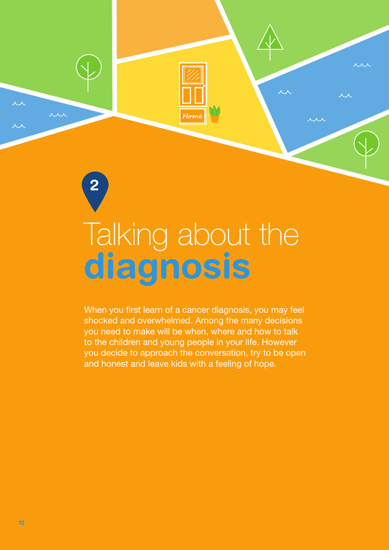

# <span id="page-13-0"></span>diagnosis Talking about the

When you first learn of a cancer diagnosis, you may feel shocked and overwhelmed. Among the many decisions you need to make will be when, where and how to talk to the children and young people in your life. However you decide to approach the conversation, try to be open and honest and leave kids with a feeling of hope.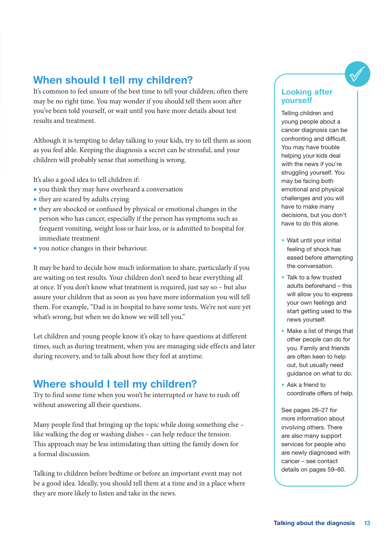#### When should I tell my children?

It's common to feel unsure of the best time to tell your children; often there may be no right time. You may wonder if you should tell them soon after you've been told yourself, or wait until you have more details about test results and treatment.

Although it is tempting to delay talking to your kids, try to tell them as soon as you feel able. Keeping the diagnosis a secret can be stressful, and your children will probably sense that something is wrong.

It's also a good idea to tell children if:

- you think they may have overheard a conversation
- they are scared by adults crying
- they are shocked or confused by physical or emotional changes in the person who has cancer, especially if the person has symptoms such as frequent vomiting, weight loss or hair loss, or is admitted to hospital for immediate treatment
- you notice changes in their behaviour.

It may be hard to decide how much information to share, particularly if you are waiting on test results. Your children don't need to hear everything all at once. If you don't know what treatment is required, just say so – but also assure your children that as soon as you have more information you will tell them. For example, "Dad is in hospital to have some tests. We're not sure yet what's wrong, but when we do know we will tell you."

Let children and young people know it's okay to have questions at different times, such as during treatment, when you are managing side effects and later during recovery, and to talk about how they feel at anytime.

#### Where should I tell my children?

Try to find some time when you won't be interrupted or have to rush off without answering all their questions.

Many people find that bringing up the topic while doing something else – like walking the dog or washing dishes – can help reduce the tension. This approach may be less intimidating than sitting the family down for a formal discussion.

Talking to children before bedtime or before an important event may not be a good idea. Ideally, you should tell them at a time and in a place where they are more likely to listen and take in the news.

#### Looking after yourself

Telling children and young people about a cancer diagnosis can be confronting and difficult. You may have trouble helping your kids deal with the news if you're struggling yourself. You may be facing both emotional and physical challenges and you will have to make many decisions, but you don't have to do this alone.

- Wait until your initial feeling of shock has eased before attempting the conversation.
- Talk to a few trusted adults beforehand – this will allow you to express your own feelings and start getting used to the news yourself.
- Make a list of things that other people can do for you. Family and friends are often keen to help out, but usually need guidance on what to do.
- Ask a friend to coordinate offers of help.

See pages 26–27 for more information about involving others. There are also many support services for people who are newly diagnosed with cancer – see contact details on pages 59–60.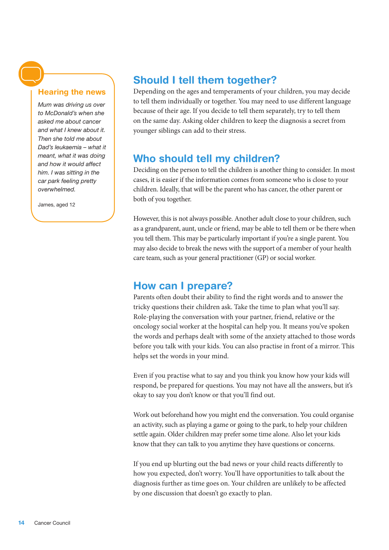#### Hearing the news

*Mum was driving us over to McDonald's when she asked me about cancer and what I knew about it. Then she told me about Dad's leukaemia – what it meant, what it was doing and how it would affect him. I was sitting in the car park feeling pretty overwhelmed.*

James, aged 12

#### Should I tell them together?

Depending on the ages and temperaments of your children, you may decide to tell them individually or together. You may need to use different language because of their age. If you decide to tell them separately, try to tell them on the same day. Asking older children to keep the diagnosis a secret from younger siblings can add to their stress.

#### Who should tell my children?

Deciding on the person to tell the children is another thing to consider. In most cases, it is easier if the information comes from someone who is close to your children. Ideally, that will be the parent who has cancer, the other parent or both of you together.

However, this is not always possible. Another adult close to your children, such as a grandparent, aunt, uncle or friend, may be able to tell them or be there when you tell them. This may be particularly important if you're a single parent. You may also decide to break the news with the support of a member of your health care team, such as your general practitioner (GP) or social worker.

#### How can I prepare?

Parents often doubt their ability to find the right words and to answer the tricky questions their children ask. Take the time to plan what you'll say. Role-playing the conversation with your partner, friend, relative or the oncology social worker at the hospital can help you. It means you've spoken the words and perhaps dealt with some of the anxiety attached to those words before you talk with your kids. You can also practise in front of a mirror. This helps set the words in your mind.

Even if you practise what to say and you think you know how your kids will respond, be prepared for questions. You may not have all the answers, but it's okay to say you don't know or that you'll find out.

Work out beforehand how you might end the conversation. You could organise an activity, such as playing a game or going to the park, to help your children settle again. Older children may prefer some time alone. Also let your kids know that they can talk to you anytime they have questions or concerns.

If you end up blurting out the bad news or your child reacts differently to how you expected, don't worry. You'll have opportunities to talk about the diagnosis further as time goes on. Your children are unlikely to be affected by one discussion that doesn't go exactly to plan.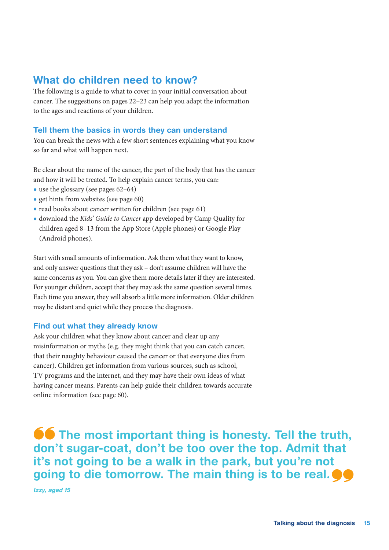#### What do children need to know?

The following is a guide to what to cover in your initial conversation about cancer. The suggestions on pages 22–23 can help you adapt the information to the ages and reactions of your children.

#### Tell them the basics in words they can understand

You can break the news with a few short sentences explaining what you know so far and what will happen next.

Be clear about the name of the cancer, the part of the body that has the cancer and how it will be treated. To help explain cancer terms, you can:

- use the glossary (see pages 62–64)
- get hints from websites (see page 60)
- read books about cancer written for children (see page 61)
- download the *Kids' Guide to Cancer* app developed by Camp Quality for children aged 8–13 from the App Store (Apple phones) or Google Play (Android phones).

Start with small amounts of information. Ask them what they want to know, and only answer questions that they ask – don't assume children will have the same concerns as you. You can give them more details later if they are interested. For younger children, accept that they may ask the same question several times. Each time you answer, they will absorb a little more information. Older children may be distant and quiet while they process the diagnosis.

#### Find out what they already know

Ask your children what they know about cancer and clear up any misinformation or myths (e.g. they might think that you can catch cancer, that their naughty behaviour caused the cancer or that everyone dies from cancer). Children get information from various sources, such as school, TV programs and the internet, and they may have their own ideas of what having cancer means. Parents can help guide their children towards accurate online information (see page 60).

**66** The most important thing is honesty. Tell the truth, don't sugar-coat, don't be too over the top. Admit that it's not going to be a walk in the park, but you're not going to die tomorrow. The main thing is to be real.  $\bullet\bullet$ 

Izzy, aged 15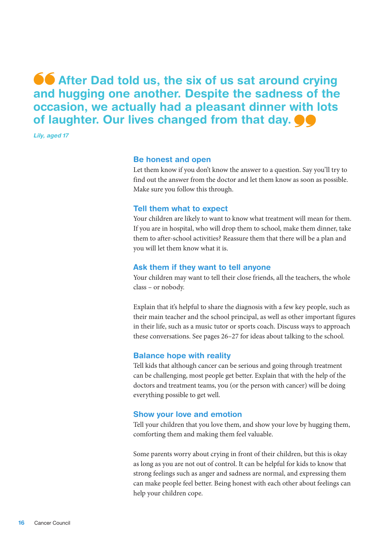**66** After Dad told us, the six of us sat around crying and hugging one another. Despite the sadness of the occasion, we actually had a pleasant dinner with lots of laughter. Our lives changed from that day.  $\bullet\bullet$ 

Lily, aged 17

#### Be honest and open

Let them know if you don't know the answer to a question. Say you'll try to find out the answer from the doctor and let them know as soon as possible. Make sure you follow this through.

#### Tell them what to expect

Your children are likely to want to know what treatment will mean for them. If you are in hospital, who will drop them to school, make them dinner, take them to after-school activities? Reassure them that there will be a plan and you will let them know what it is.

#### Ask them if they want to tell anyone

Your children may want to tell their close friends, all the teachers, the whole class – or nobody.

Explain that it's helpful to share the diagnosis with a few key people, such as their main teacher and the school principal, as well as other important figures in their life, such as a music tutor or sports coach. Discuss ways to approach these conversations. See pages 26–27 for ideas about talking to the school.

#### Balance hope with reality

Tell kids that although cancer can be serious and going through treatment can be challenging, most people get better. Explain that with the help of the doctors and treatment teams, you (or the person with cancer) will be doing everything possible to get well.

#### Show your love and emotion

Tell your children that you love them, and show your love by hugging them, comforting them and making them feel valuable.

Some parents worry about crying in front of their children, but this is okay as long as you are not out of control. It can be helpful for kids to know that strong feelings such as anger and sadness are normal, and expressing them can make people feel better. Being honest with each other about feelings can help your children cope.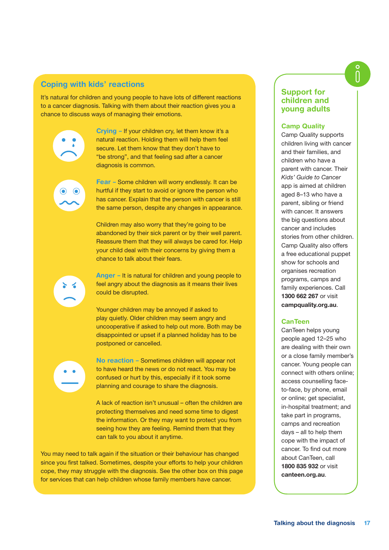#### Coping with kids' reactions

It's natural for children and young people to have lots of different reactions to a cancer diagnosis. Talking with them about their reaction gives you a chance to discuss ways of managing their emotions.

> Crying – If your children cry, let them know it's a natural reaction. Holding them will help them feel secure. Let them know that they don't have to "be strong", and that feeling sad after a cancer diagnosis is common.

Fear – Some children will worry endlessly. It can be hurtful if they start to avoid or ignore the person who has cancer. Explain that the person with cancer is still the same person, despite any changes in appearance.

Children may also worry that they're going to be abandoned by their sick parent or by their well parent. Reassure them that they will always be cared for. Help your child deal with their concerns by giving them a chance to talk about their fears.

Anger – It is natural for children and young people to feel angry about the diagnosis as it means their lives could be disrupted.

Younger children may be annoyed if asked to play quietly. Older children may seem angry and uncooperative if asked to help out more. Both may be disappointed or upset if a planned holiday has to be postponed or cancelled.

No reaction – Sometimes children will appear not to have heard the news or do not react. You may be confused or hurt by this, especially if it took some planning and courage to share the diagnosis.

A lack of reaction isn't unusual – often the children are protecting themselves and need some time to digest the information. Or they may want to protect you from seeing how they are feeling. Remind them that they can talk to you about it anytime.

You may need to talk again if the situation or their behaviour has changed since you first talked. Sometimes, despite your efforts to help your children cope, they may struggle with the diagnosis. See the other box on this page for services that can help children whose family members have cancer.

#### Support for children and young adults

#### Camp Quality

Camp Quality supports children living with cancer and their families, and children who have a parent with cancer. Their *Kids' Guide to Cancer* app is aimed at children aged 8–13 who have a parent, sibling or friend with cancer. It answers the big questions about cancer and includes stories from other children. Camp Quality also offers a free educational puppet show for schools and organises recreation programs, camps and family experiences. Call 1300 662 267 or visit [campquality.org.au](http://campquality.org.au).

#### CanTeen

CanTeen helps young people aged 12–25 who are dealing with their own or a close family member's cancer. Young people can connect with others online; access counselling faceto-face, by phone, email or online; get specialist, in-hospital treatment; and take part in programs, camps and recreation days – all to help them cope with the impact of cancer. To find out more about CanTeen, call 1800 835 932 or visit [canteen.org.au](http://canteen.org.au).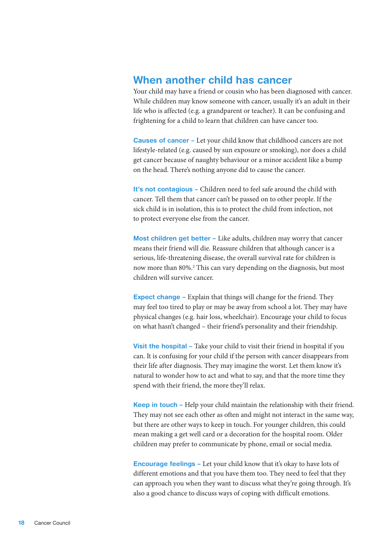#### When another child has cancer

Your child may have a friend or cousin who has been diagnosed with cancer. While children may know someone with cancer, usually it's an adult in their life who is affected (e.g. a grandparent or teacher). It can be confusing and frightening for a child to learn that children can have cancer too.

**Causes of cancer** – Let your child know that childhood cancers are not lifestyle-related (e.g. caused by sun exposure or smoking), nor does a child get cancer because of naughty behaviour or a minor accident like a bump on the head. There's nothing anyone did to cause the cancer.

It's not contagious - Children need to feel safe around the child with cancer. Tell them that cancer can't be passed on to other people. If the sick child is in isolation, this is to protect the child from infection, not to protect everyone else from the cancer.

Most children get better – Like adults, children may worry that cancer means their friend will die. Reassure children that although cancer is a serious, life-threatening disease, the overall survival rate for children is now more than 80%.<sup>2</sup> This can vary depending on the diagnosis, but most children will survive cancer.

**Expect change –** Explain that things will change for the friend. They may feel too tired to play or may be away from school a lot. They may have physical changes (e.g. hair loss, wheelchair). Encourage your child to focus on what hasn't changed – their friend's personality and their friendship.

Visit the hospital - Take your child to visit their friend in hospital if you can. It is confusing for your child if the person with cancer disappears from their life after diagnosis. They may imagine the worst. Let them know it's natural to wonder how to act and what to say, and that the more time they spend with their friend, the more they'll relax.

Keep in touch – Help your child maintain the relationship with their friend. They may not see each other as often and might not interact in the same way, but there are other ways to keep in touch. For younger children, this could mean making a get well card or a decoration for the hospital room. Older children may prefer to communicate by phone, email or social media.

**Encourage feelings -** Let your child know that it's okay to have lots of different emotions and that you have them too. They need to feel that they can approach you when they want to discuss what they're going through. It's also a good chance to discuss ways of coping with difficult emotions.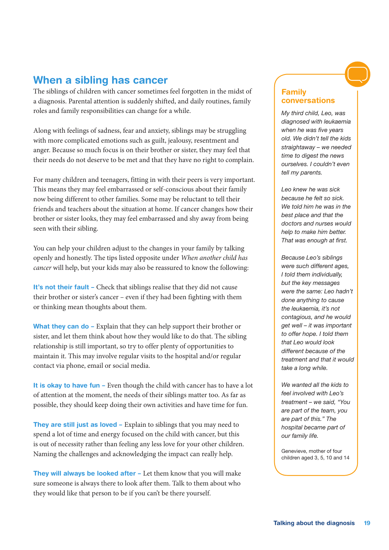#### When a sibling has cancer

The siblings of children with cancer sometimes feel forgotten in the midst of a diagnosis. Parental attention is suddenly shifted, and daily routines, family roles and family responsibilities can change for a while.

Along with feelings of sadness, fear and anxiety, siblings may be struggling with more complicated emotions such as guilt, jealousy, resentment and anger. Because so much focus is on their brother or sister, they may feel that their needs do not deserve to be met and that they have no right to complain.

For many children and teenagers, fitting in with their peers is very important. This means they may feel embarrassed or self-conscious about their family now being different to other families. Some may be reluctant to tell their friends and teachers about the situation at home. If cancer changes how their brother or sister looks, they may feel embarrassed and shy away from being seen with their sibling.

You can help your children adjust to the changes in your family by talking openly and honestly. The tips listed opposite under *When another child has cancer* will help, but your kids may also be reassured to know the following:

It's not their fault – Check that siblings realise that they did not cause their brother or sister's cancer – even if they had been fighting with them or thinking mean thoughts about them.

What they can do – Explain that they can help support their brother or sister, and let them think about how they would like to do that. The sibling relationship is still important, so try to offer plenty of opportunities to maintain it. This may involve regular visits to the hospital and/or regular contact via phone, email or social media.

It is okay to have fun – Even though the child with cancer has to have a lot of attention at the moment, the needs of their siblings matter too. As far as possible, they should keep doing their own activities and have time for fun.

They are still just as loved - Explain to siblings that you may need to spend a lot of time and energy focused on the child with cancer, but this is out of necessity rather than feeling any less love for your other children. Naming the challenges and acknowledging the impact can really help.

They will always be looked after – Let them know that you will make sure someone is always there to look after them. Talk to them about who they would like that person to be if you can't be there yourself.

#### Family conversations

*My third child, Leo, was diagnosed with leukaemia when he was five years old. We didn't tell the kids straightaway – we needed time to digest the news ourselves. I couldn't even tell my parents.*

*Leo knew he was sick because he felt so sick. We told him he was in the best place and that the doctors and nurses would help to make him better. That was enough at first.*

*Because Leo's siblings were such different ages, I told them individually, but the key messages were the same: Leo hadn't done anything to cause the leukaemia, it's not contagious, and he would get well – it was important to offer hope. I told them that Leo would look different because of the treatment and that it would take a long while.* 

*We wanted all the kids to feel involved with Leo's treatment – we said, "You are part of the team, you are part of this." The hospital became part of our family life.* 

Genevieve, mother of four children aged 3, 5, 10 and 14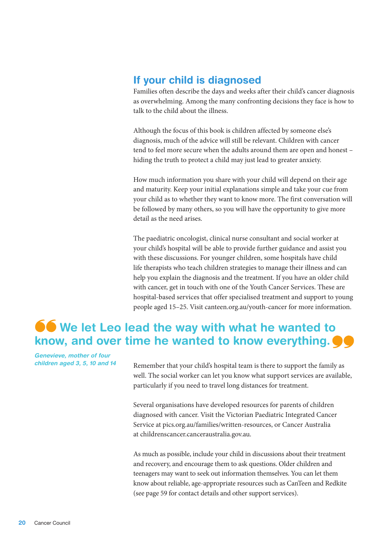#### If your child is diagnosed

Families often describe the days and weeks after their child's cancer diagnosis as overwhelming. Among the many confronting decisions they face is how to talk to the child about the illness.

Although the focus of this book is children affected by someone else's diagnosis, much of the advice will still be relevant. Children with cancer tend to feel more secure when the adults around them are open and honest – hiding the truth to protect a child may just lead to greater anxiety.

How much information you share with your child will depend on their age and maturity. Keep your initial explanations simple and take your cue from your child as to whether they want to know more. The first conversation will be followed by many others, so you will have the opportunity to give more detail as the need arises.

The paediatric oncologist, clinical nurse consultant and social worker at your child's hospital will be able to provide further guidance and assist you with these discussions. For younger children, some hospitals have child life therapists who teach children strategies to manage their illness and can help you explain the diagnosis and the treatment. If you have an older child with cancer, get in touch with one of the Youth Cancer Services. These are hospital-based services that offer specialised treatment and support to young people aged 15–25. Visit [canteen.org.au/youth-cancer](http://canteen.org.au/youth-cancer) for more information.

### **66** We let Leo lead the way with what he wanted to know, and over time he wanted to know everything.  $\bullet \bullet$

Genevieve, mother of four

children aged 3, 5, 10 and 14 Remember that your child's hospital team is there to support the family as well. The social worker can let you know what support services are available, particularly if you need to travel long distances for treatment.

> Several organisations have developed resources for parents of children diagnosed with cancer. Visit the Victorian Paediatric Integrated Cancer Service at [pics.org.au/families/written-resources](http://pics.org.au/families/written-resources), or Cancer Australia at [childrenscancer.canceraustralia.gov.au](http://childrenscancer.canceraustralia.gov.au).

As much as possible, include your child in discussions about their treatment and recovery, and encourage them to ask questions. Older children and teenagers may want to seek out information themselves. You can let them know about reliable, age-appropriate resources such as CanTeen and Redkite (see page 59 for contact details and other support services).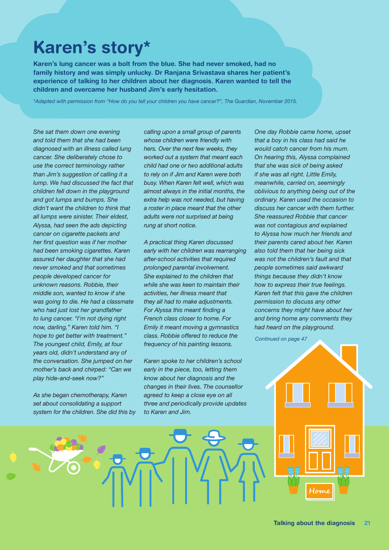# Karen's story\*

Karen's lung cancer was a bolt from the blue. She had never smoked, had no family history and was simply unlucky. Dr Ranjana Srivastava shares her patient's experience of talking to her children about her diagnosis. Karen wanted to tell the children and overcame her husband Jim's early hesitation.

*\*Adapted with permission from "How do you tell your children you have cancer?", The Guardian, November 2015.*

*She sat them down one evening and told them that she had been diagnosed with an illness called lung cancer. She deliberately chose to use the correct terminology rather than Jim's suggestion of calling it a lump. We had discussed the fact that children fell down in the playground and got lumps and bumps. She didn't want the children to think that all lumps were sinister. Their eldest, Alyssa, had seen the ads depicting cancer on cigarette packets and her first question was if her mother had been smoking cigarettes. Karen assured her daughter that she had never smoked and that sometimes people developed cancer for unknown reasons. Robbie, their middle son, wanted to know if she was going to die. He had a classmate who had just lost her grandfather to lung cancer. "I'm not dying right now, darling," Karen told him. "I hope to get better with treatment." The youngest child, Emily, at four years old, didn't understand any of the conversation. She jumped on her mother's back and chirped: "Can we play hide-and-seek now?"*

*As she began chemotherapy, Karen set about consolidating a support system for the children. She did this by*  *calling upon a small group of parents whose children were friendly with hers. Over the next few weeks, they worked out a system that meant each child had one or two additional adults to rely on if Jim and Karen were both busy. When Karen felt well, which was almost always in the initial months, the extra help was not needed, but having a roster in place meant that the other adults were not surprised at being rung at short notice.*

*A practical thing Karen discussed early with her children was rearranging after-school activities that required prolonged parental involvement. She explained to the children that while she was keen to maintain their activities, her illness meant that they all had to make adjustments. For Alyssa this meant finding a French class closer to home. For Emily it meant moving a gymnastics class. Robbie offered to reduce the frequency of his painting lessons.* 

*Karen spoke to her children's school early in the piece, too, letting them know about her diagnosis and the changes in their lives. The counsellor agreed to keep a close eye on all three and periodically provide updates to Karen and Jim.* 

*One day Robbie came home, upset that a boy in his class had said he would catch cancer from his mum. On hearing this, Alyssa complained that she was sick of being asked if she was all right. Little Emily, meanwhile, carried on, seemingly oblivious to anything being out of the ordinary. Karen used the occasion to discuss her cancer with them further. She reassured Robbie that cancer was not contagious and explained to Alyssa how much her friends and their parents cared about her. Karen also told them that her being sick was not the children's fault and that people sometimes said awkward things because they didn't know how to express their true feelings. Karen felt that this gave the children permission to discuss any other concerns they might have about her and bring home any comments they had heard on the playground.* 

*Continued on page 47*

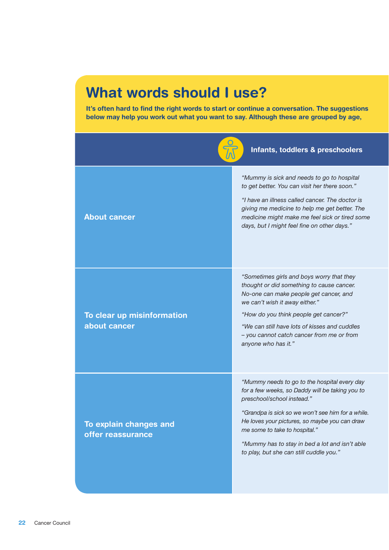# What words should I use?

It's often hard to find the right words to start or continue a conversation. The suggestions below may help you work out what you want to say. Although these are grouped by age,

|                                             | Infants, toddlers & preschoolers                                                                                                                                                                                                                                                                                                                                  |
|---------------------------------------------|-------------------------------------------------------------------------------------------------------------------------------------------------------------------------------------------------------------------------------------------------------------------------------------------------------------------------------------------------------------------|
| <b>About cancer</b>                         | "Mummy is sick and needs to go to hospital<br>to get better. You can visit her there soon."<br>"I have an illness called cancer. The doctor is<br>giving me medicine to help me get better. The<br>medicine might make me feel sick or tired some<br>days, but I might feel fine on other days."                                                                  |
| To clear up misinformation<br>about cancer  | "Sometimes girls and boys worry that they<br>thought or did something to cause cancer.<br>No-one can make people get cancer, and<br>we can't wish it away either."<br>"How do you think people get cancer?"<br>"We can still have lots of kisses and cuddles<br>- you cannot catch cancer from me or from<br>anyone who has it."                                  |
| To explain changes and<br>offer reassurance | "Mummy needs to go to the hospital every day<br>for a few weeks, so Daddy will be taking you to<br>preschool/school instead."<br>"Grandpa is sick so we won't see him for a while.<br>He loves your pictures, so maybe you can draw<br>me some to take to hospital."<br>"Mummy has to stay in bed a lot and isn't able<br>to play, but she can still cuddle you." |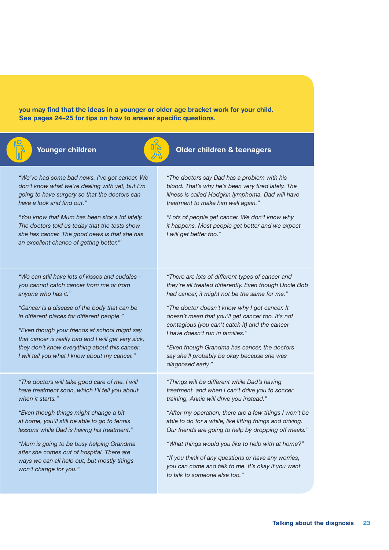you may find that the ideas in a younger or older age bracket work for your child. See pages 24–25 for tips on how to answer specific questions.





#### **Younger children**  $\begin{bmatrix} \mathbf{u} \\ \mathbf{v} \end{bmatrix}$  Older children & teenagers

*"We've had some bad news. I've got cancer. We don't know what we're dealing with yet, but I'm going to have surgery so that the doctors can have a look and find out."*

*"You know that Mum has been sick a lot lately. The doctors told us today that the tests show she has cancer. The good news is that she has an excellent chance of getting better."*

*"We can still have lots of kisses and cuddles – you cannot catch cancer from me or from anyone who has it."*

*"Cancer is a disease of the body that can be in different places for different people."*

*"Even though your friends at school might say that cancer is really bad and I will get very sick, they don't know everything about this cancer. I will tell you what I know about my cancer."*

*"The doctors will take good care of me. I will have treatment soon, which I'll tell you about when it starts."*

*"Even though things might change a bit at home, you'll still be able to go to tennis lessons while Dad is having his treatment."*

*"Mum is going to be busy helping Grandma after she comes out of hospital. There are ways we can all help out, but mostly things won't change for you."*

*"The doctors say Dad has a problem with his blood. That's why he's been very tired lately. The illness is called Hodgkin lymphoma. Dad will have treatment to make him well again."*

*"Lots of people get cancer. We don't know why it happens. Most people get better and we expect I will get better too."*

*"There are lots of different types of cancer and they're all treated differently. Even though Uncle Bob had cancer, it might not be the same for me."*

*"The doctor doesn't know why I got cancer. It doesn't mean that you'll get cancer too. It's not contagious (you can't catch it) and the cancer I have doesn't run in families."*

*"Even though Grandma has cancer, the doctors say she'll probably be okay because she was diagnosed early."*

*"Things will be different while Dad's having treatment, and when I can't drive you to soccer training, Annie will drive you instead."*

*"After my operation, there are a few things I won't be able to do for a while, like lifting things and driving. Our friends are going to help by dropping off meals."*

*"What things would you like to help with at home?"*

*"If you think of any questions or have any worries, you can come and talk to me. It's okay if you want to talk to someone else too."*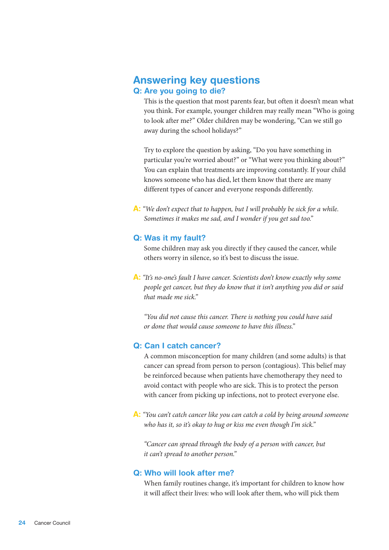#### Answering key questions Q: Are you going to die?

This is the question that most parents fear, but often it doesn't mean what you think. For example, younger children may really mean "Who is going to look after me?" Older children may be wondering, "Can we still go away during the school holidays?"

Try to explore the question by asking, "Do you have something in particular you're worried about?" or "What were you thinking about?" You can explain that treatments are improving constantly. If your child knows someone who has died, let them know that there are many different types of cancer and everyone responds differently.

A: *"We don't expect that to happen, but I will probably be sick for a while. Sometimes it makes me sad, and I wonder if you get sad too."*

#### Q: Was it my fault?

Some children may ask you directly if they caused the cancer, while others worry in silence, so it's best to discuss the issue.

A: *"It's no-one's fault I have cancer. Scientists don't know exactly why some people get cancer, but they do know that it isn't anything you did or said that made me sick."*

*"You did not cause this cancer. There is nothing you could have said or done that would cause someone to have this illness."*

#### Q: Can I catch cancer?

A common misconception for many children (and some adults) is that cancer can spread from person to person (contagious). This belief may be reinforced because when patients have chemotherapy they need to avoid contact with people who are sick. This is to protect the person with cancer from picking up infections, not to protect everyone else.

A: *"You can't catch cancer like you can catch a cold by being around someone who has it, so it's okay to hug or kiss me even though I'm sick."*

*"Cancer can spread through the body of a person with cancer, but it can't spread to another person."*

#### Q: Who will look after me?

When family routines change, it's important for children to know how it will affect their lives: who will look after them, who will pick them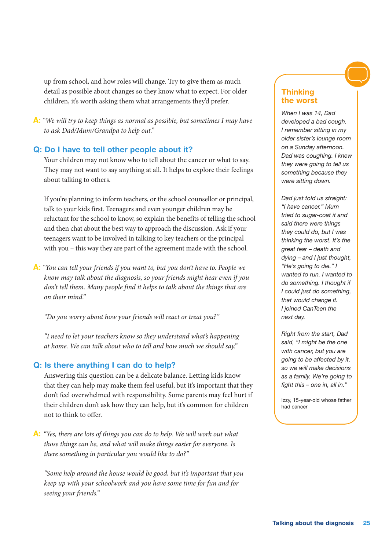up from school, and how roles will change. Try to give them as much detail as possible about changes so they know what to expect. For older children, it's worth asking them what arrangements they'd prefer.

A: *"We will try to keep things as normal as possible, but sometimes I may have to ask Dad/Mum/Grandpa to help out."*

#### Q: Do I have to tell other people about it?

Your children may not know who to tell about the cancer or what to say. They may not want to say anything at all. It helps to explore their feelings about talking to others.

If you're planning to inform teachers, or the school counsellor or principal, talk to your kids first. Teenagers and even younger children may be reluctant for the school to know, so explain the benefits of telling the school and then chat about the best way to approach the discussion. Ask if your teenagers want to be involved in talking to key teachers or the principal with you – this way they are part of the agreement made with the school.

A: *"You can tell your friends if you want to, but you don't have to. People we know may talk about the diagnosis, so your friends might hear even if you don't tell them. Many people find it helps to talk about the things that are on their mind."*

*"Do you worry about how your friends will react or treat you?"*

*"I need to let your teachers know so they understand what's happening at home. We can talk about who to tell and how much we should say."*

#### Q: Is there anything I can do to help?

Answering this question can be a delicate balance. Letting kids know that they can help may make them feel useful, but it's important that they don't feel overwhelmed with responsibility. Some parents may feel hurt if their children don't ask how they can help, but it's common for children not to think to offer.

A: *"Yes, there are lots of things you can do to help. We will work out what those things can be, and what will make things easier for everyone. Is there something in particular you would like to do?"*

*"Some help around the house would be good, but it's important that you keep up with your schoolwork and you have some time for fun and for seeing your friends."*

#### **Thinking** the worst

*When I was 14, Dad developed a bad cough. I remember sitting in my older sister's lounge room on a Sunday afternoon. Dad was coughing. I knew they were going to tell us something because they were sitting down.*

*Dad just told us straight: "I have cancer." Mum tried to sugar-coat it and said there were things they could do, but I was thinking the worst. It's the great fear – death and dying – and I just thought, "He's going to die." I wanted to run. I wanted to do something. I thought if I could just do something, that would change it. I joined CanTeen the next day.*

*Right from the start, Dad said, "I might be the one with cancer, but you are going to be affected by it, so we will make decisions as a family. We're going to fight this – one in, all in."*

Izzy, 15-year-old whose father had cancer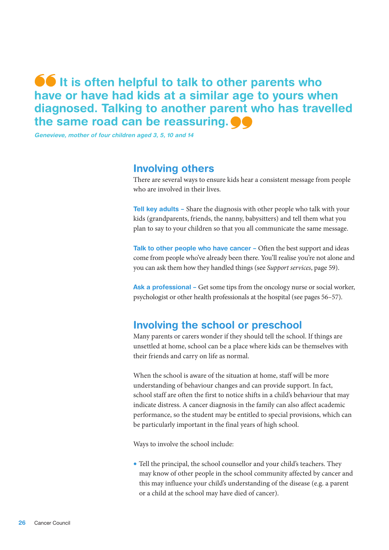### **It is often helpful to talk to other parents who** have or have had kids at a similar age to yours when diagnosed. Talking to another parent who has travelled the same road can be reassuring.  $\bullet \bullet$

Genevieve, mother of four children aged 3, 5, 10 and 14

#### Involving others

There are several ways to ensure kids hear a consistent message from people who are involved in their lives.

**Tell key adults** – Share the diagnosis with other people who talk with your kids (grandparents, friends, the nanny, babysitters) and tell them what you plan to say to your children so that you all communicate the same message.

Talk to other people who have cancer - Often the best support and ideas come from people who've already been there. You'll realise you're not alone and you can ask them how they handled things (see *Support services*, page 59).

Ask a professional – Get some tips from the oncology nurse or social worker, psychologist or other health professionals at the hospital (see pages 56–57).

#### Involving the school or preschool

Many parents or carers wonder if they should tell the school. If things are unsettled at home, school can be a place where kids can be themselves with their friends and carry on life as normal.

When the school is aware of the situation at home, staff will be more understanding of behaviour changes and can provide support. In fact, school staff are often the first to notice shifts in a child's behaviour that may indicate distress. A cancer diagnosis in the family can also affect academic performance, so the student may be entitled to special provisions, which can be particularly important in the final years of high school.

Ways to involve the school include:

• Tell the principal, the school counsellor and your child's teachers. They may know of other people in the school community affected by cancer and this may influence your child's understanding of the disease (e.g. a parent or a child at the school may have died of cancer).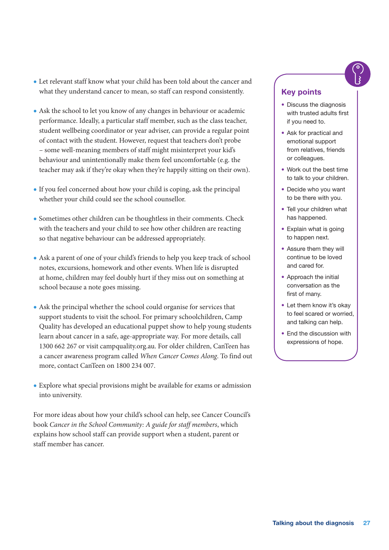- Let relevant staff know what your child has been told about the cancer and what they understand cancer to mean, so staff can respond consistently.
- Ask the school to let you know of any changes in behaviour or academic performance. Ideally, a particular staff member, such as the class teacher, student wellbeing coordinator or year adviser, can provide a regular point of contact with the student. However, request that teachers don't probe – some well-meaning members of staff might misinterpret your kid's behaviour and unintentionally make them feel uncomfortable (e.g. the teacher may ask if they're okay when they're happily sitting on their own).
- If you feel concerned about how your child is coping, ask the principal whether your child could see the school counsellor.
- Sometimes other children can be thoughtless in their comments. Check with the teachers and your child to see how other children are reacting so that negative behaviour can be addressed appropriately.
- Ask a parent of one of your child's friends to help you keep track of school notes, excursions, homework and other events. When life is disrupted at home, children may feel doubly hurt if they miss out on something at school because a note goes missing.
- Ask the principal whether the school could organise for services that support students to visit the school. For primary schoolchildren, Camp Quality has developed an educational puppet show to help young students learn about cancer in a safe, age-appropriate way. For more details, call 1300 662 267 or visit [campquality.org.au.](http://campquality.org.au) For older children, CanTeen has a cancer awareness program called *When Cancer Comes Along*. To find out more, contact CanTeen on 1800 234 007.
- Explore what special provisions might be available for exams or admission into university.

For more ideas about how your child's school can help, see Cancer Council's book *Cancer in the School Community: A guide for staff members*, which explains how school staff can provide support when a student, parent or staff member has cancer.

#### Key points

- Discuss the diagnosis with trusted adults first if you need to.
- Ask for practical and emotional support from relatives, friends or colleagues.
- Work out the best time to talk to your children.
- Decide who you want to be there with you.
- Tell your children what has happened.
- Explain what is going to happen next.
- Assure them they will continue to be loved and cared for.
- Approach the initial conversation as the first of many.
- Let them know it's okay to feel scared or worried, and talking can help.
- End the discussion with expressions of hope.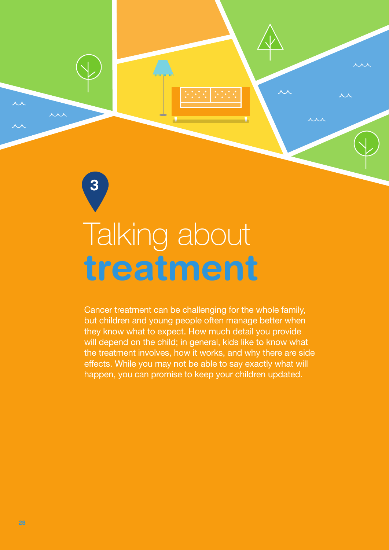<span id="page-29-0"></span>

3

Cancer treatment can be challenging for the whole family, but children and young people often manage better when they know what to expect. How much detail you provide will depend on the child; in general, kids like to know what the treatment involves, how it works, and why there are side effects. While you may not be able to say exactly what will happen, you can promise to keep your children updated.

人人

x x x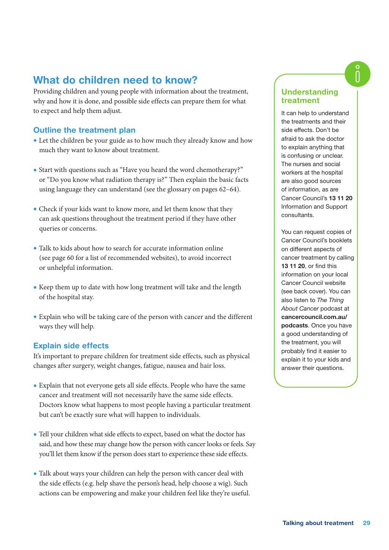#### What do children need to know?

Providing children and young people with information about the treatment, why and how it is done, and possible side effects can prepare them for what to expect and help them adjust.

#### Outline the treatment plan

- Let the children be your guide as to how much they already know and how much they want to know about treatment.
- Start with questions such as "Have you heard the word chemotherapy?" or "Do you know what radiation therapy is?" Then explain the basic facts using language they can understand (see the glossary on pages 62–64).
- Check if your kids want to know more, and let them know that they can ask questions throughout the treatment period if they have other queries or concerns.
- Talk to kids about how to search for accurate information online (see page 60 for a list of recommended websites), to avoid incorrect or unhelpful information.
- Keep them up to date with how long treatment will take and the length of the hospital stay.
- Explain who will be taking care of the person with cancer and the different ways they will help.

#### Explain side effects

It's important to prepare children for treatment side effects, such as physical changes after surgery, weight changes, fatigue, nausea and hair loss.

- Explain that not everyone gets all side effects. People who have the same cancer and treatment will not necessarily have the same side effects. Doctors know what happens to most people having a particular treatment but can't be exactly sure what will happen to individuals.
- Tell your children what side effects to expect, based on what the doctor has said, and how these may change how the person with cancer looks or feels. Say you'll let them know if the person does start to experience these side effects.
- Talk about ways your children can help the person with cancer deal with the side effects (e.g. help shave the person's head, help choose a wig). Such actions can be empowering and make your children feel like they're useful.

#### Understanding treatment

It can help to understand the treatments and their side effects. Don't be afraid to ask the doctor to explain anything that is confusing or unclear. The nurses and social workers at the hospital are also good sources of information, as are Cancer Council's 13 11 20 Information and Support consultants.

You can request copies of Cancer Council's booklets on different aspects of cancer treatment by calling 13 11 20, or find this information on your local Cancer Council website (see back cover). You can also listen to *The Thing About Cancer* podcast at [cancercouncil.com.au/](http://cancercouncil.com.au/podcasts) [podcasts](http://cancercouncil.com.au/podcasts). Once you have a good understanding of the treatment, you will probably find it easier to explain it to your kids and answer their questions.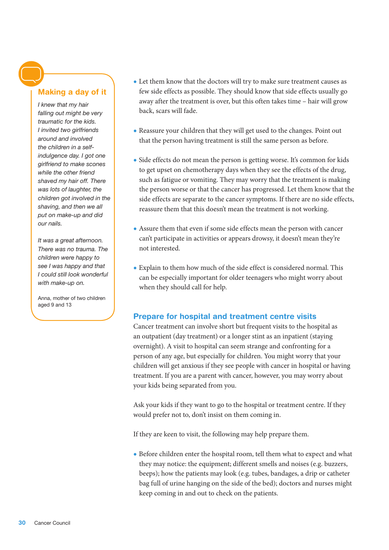#### Making a day of it

*I knew that my hair falling out might be very traumatic for the kids. I invited two girlfriends around and involved the children in a selfindulgence day. I got one girlfriend to make scones while the other friend shaved my hair off. There was lots of laughter, the children got involved in the shaving, and then we all put on make-up and did our nails.*

*It was a great afternoon. There was no trauma. The children were happy to see I was happy and that I could still look wonderful with make-up on.*

Anna, mother of two children aged 9 and 13

- Let them know that the doctors will try to make sure treatment causes as few side effects as possible. They should know that side effects usually go away after the treatment is over, but this often takes time – hair will grow back, scars will fade.
- Reassure your children that they will get used to the changes. Point out that the person having treatment is still the same person as before.
- Side effects do not mean the person is getting worse. It's common for kids to get upset on chemotherapy days when they see the effects of the drug, such as fatigue or vomiting. They may worry that the treatment is making the person worse or that the cancer has progressed. Let them know that the side effects are separate to the cancer symptoms. If there are no side effects, reassure them that this doesn't mean the treatment is not working.
- Assure them that even if some side effects mean the person with cancer can't participate in activities or appears drowsy, it doesn't mean they're not interested.
- Explain to them how much of the side effect is considered normal. This can be especially important for older teenagers who might worry about when they should call for help.

#### Prepare for hospital and treatment centre visits

Cancer treatment can involve short but frequent visits to the hospital as an outpatient (day treatment) or a longer stint as an inpatient (staying overnight). A visit to hospital can seem strange and confronting for a person of any age, but especially for children. You might worry that your children will get anxious if they see people with cancer in hospital or having treatment. If you are a parent with cancer, however, you may worry about your kids being separated from you.

Ask your kids if they want to go to the hospital or treatment centre. If they would prefer not to, don't insist on them coming in.

If they are keen to visit, the following may help prepare them.

• Before children enter the hospital room, tell them what to expect and what they may notice: the equipment; different smells and noises (e.g. buzzers, beeps); how the patients may look (e.g. tubes, bandages, a drip or catheter bag full of urine hanging on the side of the bed); doctors and nurses might keep coming in and out to check on the patients.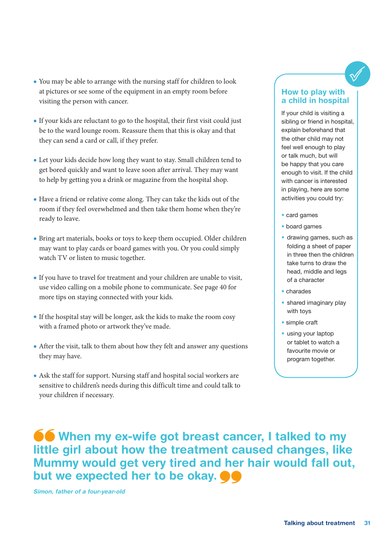- You may be able to arrange with the nursing staff for children to look at pictures or see some of the equipment in an empty room before visiting the person with cancer.
- If your kids are reluctant to go to the hospital, their first visit could just be to the ward lounge room. Reassure them that this is okay and that they can send a card or call, if they prefer.
- Let your kids decide how long they want to stay. Small children tend to get bored quickly and want to leave soon after arrival. They may want to help by getting you a drink or magazine from the hospital shop.
- Have a friend or relative come along. They can take the kids out of the room if they feel overwhelmed and then take them home when they're ready to leave.
- Bring art materials, books or toys to keep them occupied. Older children may want to play cards or board games with you. Or you could simply watch TV or listen to music together.
- If you have to travel for treatment and your children are unable to visit, use video calling on a mobile phone to communicate. See page 40 for more tips on staying connected with your kids.
- If the hospital stay will be longer, ask the kids to make the room cosy with a framed photo or artwork they've made.
- After the visit, talk to them about how they felt and answer any questions they may have.
- Ask the staff for support. Nursing staff and hospital social workers are sensitive to children's needs during this difficult time and could talk to your children if necessary.

#### How to play with a child in hospital

If your child is visiting a sibling or friend in hospital, explain beforehand that the other child may not feel well enough to play or talk much, but will be happy that you care enough to visit. If the child with cancer is interested in playing, here are some activities you could try:

- card games
- board games
- drawing games, such as folding a sheet of paper in three then the children take turns to draw the head, middle and legs of a character
- charades
- shared imaginary play with toys
- simple craft
- using your laptop or tablet to watch a favourite movie or program together.

**66 When my ex-wife got breast cancer, I talked to my** little girl about how the treatment caused changes, like Mummy would get very tired and her hair would fall out, but we expected her to be okay.  $\bullet \bullet$ 

Simon, father of a four-year-old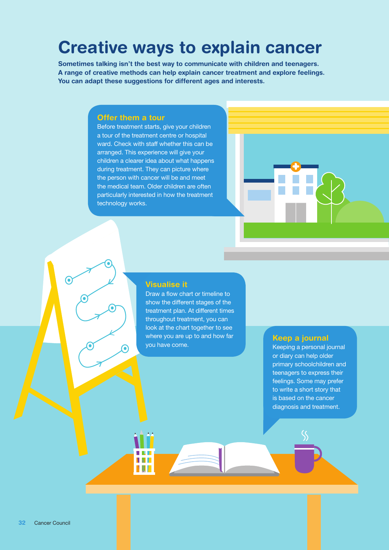# Creative ways to explain cancer

Sometimes talking isn't the best way to communicate with children and teenagers. A range of creative methods can help explain cancer treatment and explore feelings. You can adapt these suggestions for different ages and interests.

#### Offer them a tour

ົ

V d L NOT

Before treatment starts, give your children a tour of the treatment centre or hospital ward. Check with staff whether this can be arranged. This experience will give your children a clearer idea about what happens during treatment. They can picture where the person with cancer will be and meet the medical team. Older children are often particularly interested in how the treatment technology works.



#### Visualise it

Draw a flow chart or timeline to show the different stages of the treatment plan. At different times throughout treatment, you can look at the chart together to see where you are up to and how far<br>you have come. We are the second in the second in the second is

Keeping a personal journal or diary can help older primary schoolchildren and teenagers to express their feelings. Some may prefer to write a short story that is based on the cancer diagnosis and treatment.

 $\left( \bullet \right)$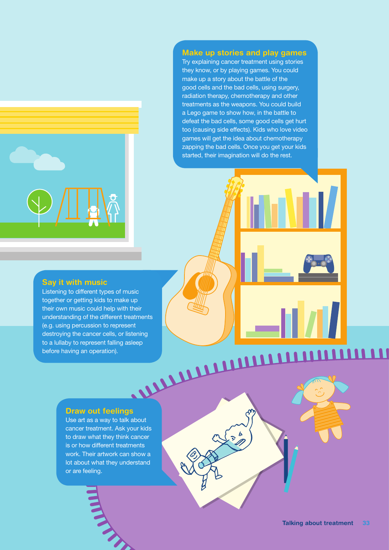

#### Make up stories and play games

Try explaining cancer treatment using stories they know, or by playing games. You could make up a story about the battle of the good cells and the bad cells, using surgery, radiation therapy, chemotherapy and other treatments as the weapons. You could build a Lego game to show how, in the battle to defeat the bad cells, some good cells get hurt too (causing side effects). Kids who love video games will get the idea about chemotherapy zapping the bad cells. Once you get your kids started, their imagination will do the rest.

#### Say it with music

Listening to different types of music together or getting kids to make up their own music could help with their understanding of the different treatments (e.g. using percussion to represent destroying the cancer cells, or listening<br>to a lullaby to represent falling asleep<br>before having an operation). to a lullaby to represent falling asleep before having an operation).

#### Draw out feelings

Use art as a way to talk about cancer treatment. Ask your kids to draw what they think cancer is or how different treatments work. Their artwork can show a lot about what they understand or are feeling.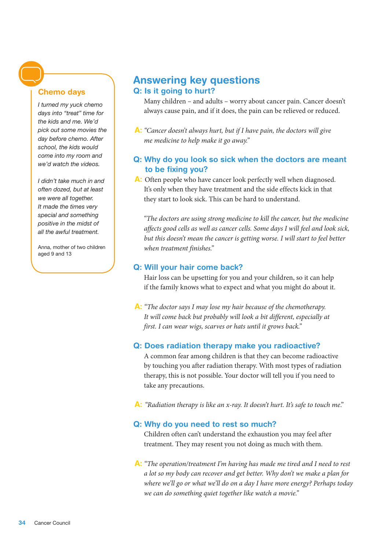#### Chemo days

*I turned my yuck chemo days into "treat" time for the kids and me. We'd pick out some movies the day before chemo. After school, the kids would come into my room and we'd watch the videos.* 

*I didn't take much in and often dozed, but at least we were all together. It made the times very special and something positive in the midst of all the awful treatment.*

Anna, mother of two children aged 9 and 13

#### Answering key questions Q: Is it going to hurt?

Many children – and adults – worry about cancer pain. Cancer doesn't always cause pain, and if it does, the pain can be relieved or reduced.

A: *"Cancer doesn't always hurt, but if I have pain, the doctors will give me medicine to help make it go away."*

#### Q: Why do you look so sick when the doctors are meant to be fixing you?

A: Often people who have cancer look perfectly well when diagnosed. It's only when they have treatment and the side effects kick in that they start to look sick. This can be hard to understand.

 *"The doctors are using strong medicine to kill the cancer, but the medicine affects good cells as well as cancer cells. Some days I will feel and look sick,*  but this doesn't mean the cancer is getting worse. I will start to feel better *when treatment finishes."*

#### Q: Will your hair come back?

Hair loss can be upsetting for you and your children, so it can help if the family knows what to expect and what you might do about it.

A: *"The doctor says I may lose my hair because of the chemotherapy. It will come back but probably will look a bit different, especially at first. I can wear wigs, scarves or hats until it grows back."*

#### Q: Does radiation therapy make you radioactive?

A common fear among children is that they can become radioactive by touching you after radiation therapy. With most types of radiation therapy, this is not possible. Your doctor will tell you if you need to take any precautions.

A: *"Radiation therapy is like an x-ray. It doesn't hurt. It's safe to touch me*."

#### Q: Why do you need to rest so much?

Children often can't understand the exhaustion you may feel after treatment. They may resent you not doing as much with them.

A: *"The operation/treatment I'm having has made me tired and I need to rest a lot so my body can recover and get better. Why don't we make a plan for where we'll go or what we'll do on a day I have more energy? Perhaps today we can do something quiet together like watch a movie."*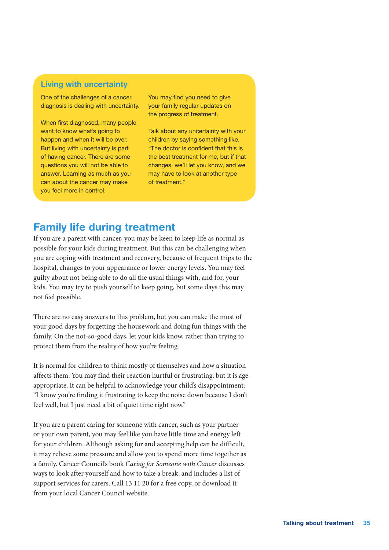#### Living with uncertainty

One of the challenges of a cancer diagnosis is dealing with uncertainty.

When first diagnosed, many people want to know what's going to happen and when it will be over. But living with uncertainty is part of having cancer. There are some questions you will not be able to answer. Learning as much as you can about the cancer may make you feel more in control.

You may find you need to give your family regular updates on the progress of treatment.

Talk about any uncertainty with your children by saying something like, "The doctor is confident that this is the best treatment for me, but if that changes, we'll let you know, and we may have to look at another type of treatment."

#### Family life during treatment

If you are a parent with cancer, you may be keen to keep life as normal as possible for your kids during treatment. But this can be challenging when you are coping with treatment and recovery, because of frequent trips to the hospital, changes to your appearance or lower energy levels. You may feel guilty about not being able to do all the usual things with, and for, your kids. You may try to push yourself to keep going, but some days this may not feel possible.

There are no easy answers to this problem, but you can make the most of your good days by forgetting the housework and doing fun things with the family. On the not-so-good days, let your kids know, rather than trying to protect them from the reality of how you're feeling.

It is normal for children to think mostly of themselves and how a situation affects them. You may find their reaction hurtful or frustrating, but it is ageappropriate. It can be helpful to acknowledge your child's disappointment: "I know you're finding it frustrating to keep the noise down because I don't feel well, but I just need a bit of quiet time right now."

If you are a parent caring for someone with cancer, such as your partner or your own parent, you may feel like you have little time and energy left for your children. Although asking for and accepting help can be difficult, it may relieve some pressure and allow you to spend more time together as a family. Cancer Council's book *Caring for Someone with Cancer* discusses ways to look after yourself and how to take a break, and includes a list of support services for carers. Call 13 11 20 for a free copy, or download it from your local Cancer Council website.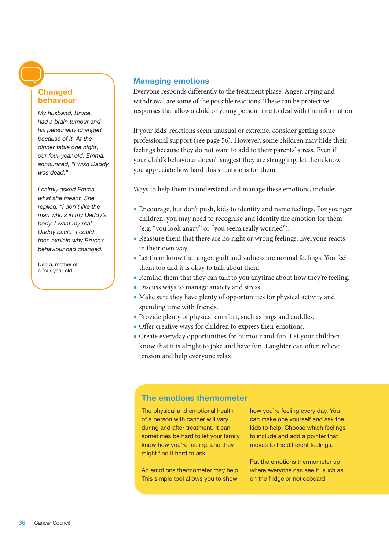#### Changed behaviour

*My husband, Bruce, had a brain tumour and his personality changed because of it. At the dinner table one night, our four-year-old, Emma, announced, "I wish Daddy was dead."* 

*I calmly asked Emma what she meant. She replied, "I don't like the man who's in my Daddy's body. I want my real Daddy back." I could then explain why Bruce's behaviour had changed.*

Debra, mother of a four-year-old

#### Managing emotions

Everyone responds differently to the treatment phase. Anger, crying and withdrawal are some of the possible reactions. These can be protective responses that allow a child or young person time to deal with the information.

If your kids' reactions seem unusual or extreme, consider getting some professional support (see page 56). However, some children may hide their feelings because they do not want to add to their parents' stress. Even if your child's behaviour doesn't suggest they are struggling, let them know you appreciate how hard this situation is for them.

Ways to help them to understand and manage these emotions, include:

- Encourage, but don't push, kids to identify and name feelings. For younger children, you may need to recognise and identify the emotion for them (e.g. "you look angry" or "you seem really worried").
- Reassure them that there are no right or wrong feelings. Everyone reacts in their own way.
- Let them know that anger, guilt and sadness are normal feelings. You feel them too and it is okay to talk about them.
- Remind them that they can talk to you anytime about how they're feeling.
- Discuss ways to manage anxiety and stress.
- Make sure they have plenty of opportunities for physical activity and spending time with friends.
- Provide plenty of physical comfort, such as hugs and cuddles.
- Offer creative ways for children to express their emotions.
- Create everyday opportunities for humour and fun. Let your children know that it is alright to joke and have fun. Laughter can often relieve tension and help everyone relax.

#### The emotions thermometer

The physical and emotional health of a person with cancer will vary during and after treatment. It can sometimes be hard to let your family know how you're feeling, and they might find it hard to ask.

An emotions thermometer may help. This simple tool allows you to show

how you're feeling every day. You can make one yourself and ask the kids to help. Choose which feelings to include and add a pointer that moves to the different feelings.

Put the emotions thermometer up where everyone can see it, such as on the fridge or noticeboard.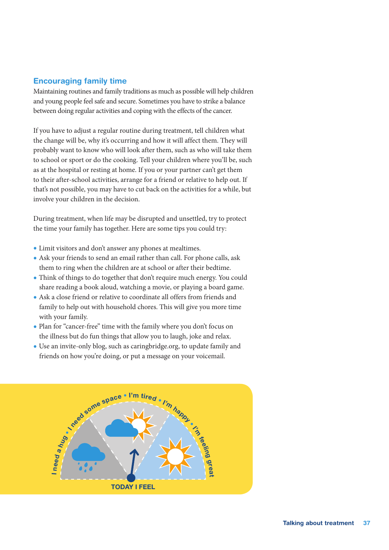#### Encouraging family time

Maintaining routines and family traditions as much as possible will help children and young people feel safe and secure. Sometimes you have to strike a balance between doing regular activities and coping with the effects of the cancer.

If you have to adjust a regular routine during treatment, tell children what the change will be, why it's occurring and how it will affect them. They will probably want to know who will look after them, such as who will take them to school or sport or do the cooking. Tell your children where you'll be, such as at the hospital or resting at home. If you or your partner can't get them to their after-school activities, arrange for a friend or relative to help out. If that's not possible, you may have to cut back on the activities for a while, but involve your children in the decision.

During treatment, when life may be disrupted and unsettled, try to protect the time your family has together. Here are some tips you could try:

- Limit visitors and don't answer any phones at mealtimes.
- Ask your friends to send an email rather than call. For phone calls, ask them to ring when the children are at school or after their bedtime.
- Think of things to do together that don't require much energy. You could share reading a book aloud, watching a movie, or playing a board game.
- Ask a close friend or relative to coordinate all offers from friends and family to help out with household chores. This will give you more time with your family.
- Plan for "cancer-free" time with the family where you don't focus on the illness but do fun things that allow you to laugh, joke and relax.
- Use an invite-only blog, such as [caringbridge.org,](http://caringbridge.org) to update family and friends on how you're doing, or put a message on your voicemail.

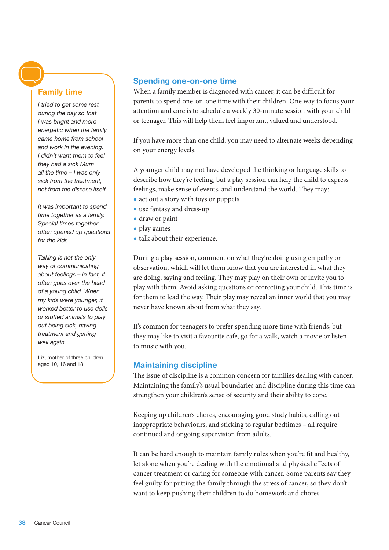#### Family time

*I tried to get some rest during the day so that I was bright and more energetic when the family came home from school and work in the evening. I didn't want them to feel they had a sick Mum all the time – I was only sick from the treatment, not from the disease itself.*

*It was important to spend time together as a family. Special times together often opened up questions for the kids.*

*Talking is not the only way of communicating about feelings – in fact, it often goes over the head of a young child. When my kids were younger, it worked better to use dolls or stuffed animals to play out being sick, having treatment and getting well again.*

Liz, mother of three children aged 10, 16 and 18

#### Spending one-on-one time

When a family member is diagnosed with cancer, it can be difficult for parents to spend one-on-one time with their children. One way to focus your attention and care is to schedule a weekly 30-minute session with your child or teenager. This will help them feel important, valued and understood.

If you have more than one child, you may need to alternate weeks depending on your energy levels.

A younger child may not have developed the thinking or language skills to describe how they're feeling, but a play session can help the child to express feelings, make sense of events, and understand the world. They may:

- act out a story with toys or puppets
- use fantasy and dress-up
- draw or paint
- play games
- talk about their experience.

During a play session, comment on what they're doing using empathy or observation, which will let them know that you are interested in what they are doing, saying and feeling. They may play on their own or invite you to play with them. Avoid asking questions or correcting your child. This time is for them to lead the way. Their play may reveal an inner world that you may never have known about from what they say.

It's common for teenagers to prefer spending more time with friends, but they may like to visit a favourite cafe, go for a walk, watch a movie or listen to music with you.

#### Maintaining discipline

The issue of discipline is a common concern for families dealing with cancer. Maintaining the family's usual boundaries and discipline during this time can strengthen your children's sense of security and their ability to cope.

Keeping up children's chores, encouraging good study habits, calling out inappropriate behaviours, and sticking to regular bedtimes – all require continued and ongoing supervision from adults.

It can be hard enough to maintain family rules when you're fit and healthy, let alone when you're dealing with the emotional and physical effects of cancer treatment or caring for someone with cancer. Some parents say they feel guilty for putting the family through the stress of cancer, so they don't want to keep pushing their children to do homework and chores.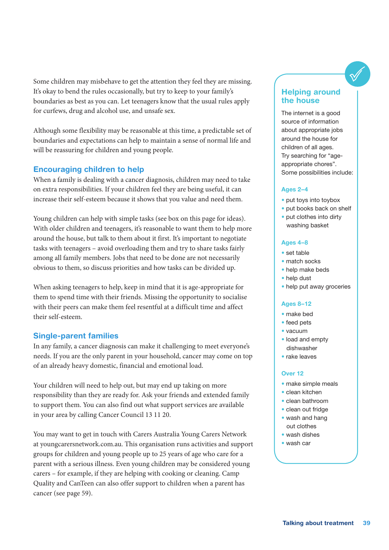Some children may misbehave to get the attention they feel they are missing. It's okay to bend the rules occasionally, but try to keep to your family's boundaries as best as you can. Let teenagers know that the usual rules apply for curfews, drug and alcohol use, and unsafe sex.

Although some flexibility may be reasonable at this time, a predictable set of boundaries and expectations can help to maintain a sense of normal life and will be reassuring for children and young people.

#### Encouraging children to help

When a family is dealing with a cancer diagnosis, children may need to take on extra responsibilities. If your children feel they are being useful, it can increase their self-esteem because it shows that you value and need them.

Young children can help with simple tasks (see box on this page for ideas). With older children and teenagers, it's reasonable to want them to help more around the house, but talk to them about it first. It's important to negotiate tasks with teenagers – avoid overloading them and try to share tasks fairly among all family members. Jobs that need to be done are not necessarily obvious to them, so discuss priorities and how tasks can be divided up.

When asking teenagers to help, keep in mind that it is age-appropriate for them to spend time with their friends. Missing the opportunity to socialise with their peers can make them feel resentful at a difficult time and affect their self-esteem.

#### Single-parent families

In any family, a cancer diagnosis can make it challenging to meet everyone's needs. If you are the only parent in your household, cancer may come on top of an already heavy domestic, financial and emotional load.

Your children will need to help out, but may end up taking on more responsibility than they are ready for. Ask your friends and extended family to support them. You can also find out what support services are available in your area by calling Cancer Council 13 11 20.

You may want to get in touch with Carers Australia Young Carers Network at [youngcarersnetwork.com.au.](http://youngcarersnetwork.com.au) This organisation runs activities and support groups for children and young people up to 25 years of age who care for a parent with a serious illness. Even young children may be considered young carers – for example, if they are helping with cooking or cleaning. Camp Quality and CanTeen can also offer support to children when a parent has cancer (see page 59).

#### Helping around the house

The internet is a good source of information about appropriate jobs around the house for children of all ages. Try searching for "ageappropriate chores". Some possibilities include:

#### Ages 2–4

- put toys into toybox
- put books back on shelf
- put clothes into dirty washing basket

#### Ages 4–8

- set table
- match socks
- help make beds
- help dust
- help put away groceries

#### Ages 8–12

- make bed
- feed pets
- vacuum
- load and empty dishwasher
- rake leaves

#### Over 12

- make simple meals
- clean kitchen
- clean bathroom
- clean out fridge
- wash and hang out clothes
- wash dishes
- wash car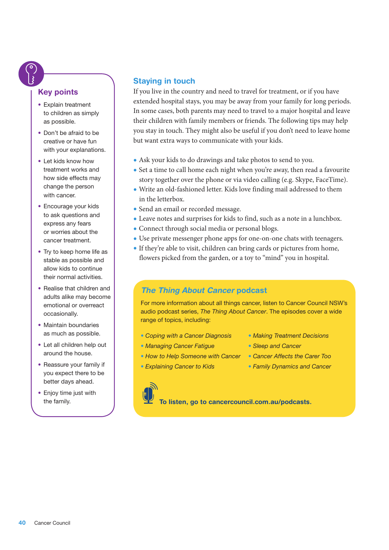#### Key points

- Explain treatment to children as simply as possible.
- Don't be afraid to be creative or have fun with your explanations.
- Let kids know how treatment works and how side effects may change the person with cancer.
- Encourage your kids to ask questions and express any fears or worries about the cancer treatment.
- Try to keep home life as stable as possible and allow kids to continue their normal activities.
- Realise that children and adults alike may become emotional or overreact occasionally.
- Maintain boundaries as much as possible.
- Let all children help out around the house.
- Reassure your family if you expect there to be better days ahead.
- Enjoy time just with the family.

#### Staying in touch

If you live in the country and need to travel for treatment, or if you have extended hospital stays, you may be away from your family for long periods. In some cases, both parents may need to travel to a major hospital and leave their children with family members or friends. The following tips may help you stay in touch. They might also be useful if you don't need to leave home but want extra ways to communicate with your kids.

- Ask your kids to do drawings and take photos to send to you.
- Set a time to call home each night when you're away, then read a favourite story together over the phone or via video calling (e.g. Skype, FaceTime).
- Write an old-fashioned letter. Kids love finding mail addressed to them in the letterbox.
- Send an email or recorded message.
- Leave notes and surprises for kids to find, such as a note in a lunchbox.
- Connect through social media or personal blogs.
- Use private messenger phone apps for one-on-one chats with teenagers.
- If they're able to visit, children can bring cards or pictures from home, flowers picked from the garden, or a toy to "mind" you in hospital.

#### *The Thing About Cancer* podcast

For more information about all things cancer, listen to Cancer Council NSW's audio podcast series, *The Thing About Cancer*. The episodes cover a wide range of topics, including:

• *Coping with a Cancer Diagnosis*

• *How to Help Someone with Cancer*

- *Making Treatment Decisions*
- *Sleep and Cancer*
- *Cancer Affects the Carer Too*
- *Family Dynamics and Cancer*
- *Explaining Cancer to Kids*

• *Managing Cancer Fatigue*

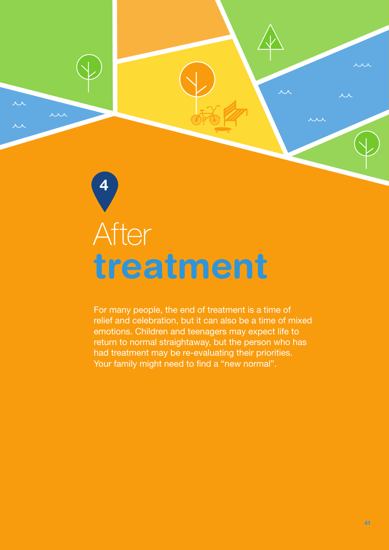# <span id="page-42-0"></span>treatment After

4

 $\overline{\mathcal{M}}$ 

in

For many people, the end of treatment is a time of relief and celebration, but it can also be a time of mixed emotions. Children and teenagers may expect life to return to normal straightaway, but the person who has had treatment may be re-evaluating their priorities. Your family might need to find a "new normal".

 $\overline{\mathcal{M}}$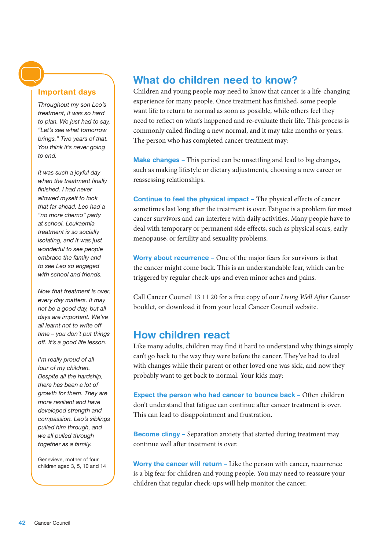#### Important days

*Throughout my son Leo's treatment, it was so hard to plan. We just had to say, "Let's see what tomorrow brings." Two years of that. You think it's never going to end.*

*It was such a joyful day when the treatment finally finished. I had never allowed myself to look that far ahead. Leo had a "no more chemo" party at school. Leukaemia treatment is so socially isolating, and it was just wonderful to see people embrace the family and to see Leo so engaged with school and friends.*

*Now that treatment is over, every day matters. It may not be a good day, but all days are important. We've all learnt not to write off time – you don't put things off. It's a good life lesson.* 

*I'm really proud of all four of my children. Despite all the hardship, there has been a lot of growth for them. They are more resilient and have developed strength and compassion. Leo's siblings pulled him through, and we all pulled through together as a family.*

Genevieve, mother of four children aged 3, 5, 10 and 14

### What do children need to know?

Children and young people may need to know that cancer is a life-changing experience for many people. Once treatment has finished, some people want life to return to normal as soon as possible, while others feel they need to reflect on what's happened and re-evaluate their life. This process is commonly called finding a new normal, and it may take months or years. The person who has completed cancer treatment may:

Make changes – This period can be unsettling and lead to big changes, such as making lifestyle or dietary adjustments, choosing a new career or reassessing relationships.

Continue to feel the physical impact – The physical effects of cancer sometimes last long after the treatment is over. Fatigue is a problem for most cancer survivors and can interfere with daily activities. Many people have to deal with temporary or permanent side effects, such as physical scars, early menopause, or fertility and sexuality problems.

Worry about recurrence - One of the major fears for survivors is that the cancer might come back. This is an understandable fear, which can be triggered by regular check-ups and even minor aches and pains.

Call Cancer Council 13 11 20 for a free copy of our *Living Well After Cancer* booklet, or download it from your local Cancer Council website.

#### How children react

Like many adults, children may find it hard to understand why things simply can't go back to the way they were before the cancer. They've had to deal with changes while their parent or other loved one was sick, and now they probably want to get back to normal. Your kids may:

Expect the person who had cancer to bounce back – Often children don't understand that fatigue can continue after cancer treatment is over. This can lead to disappointment and frustration.

**Become clingy** – Separation anxiety that started during treatment may continue well after treatment is over.

Worry the cancer will return - Like the person with cancer, recurrence is a big fear for children and young people. You may need to reassure your children that regular check-ups will help monitor the cancer.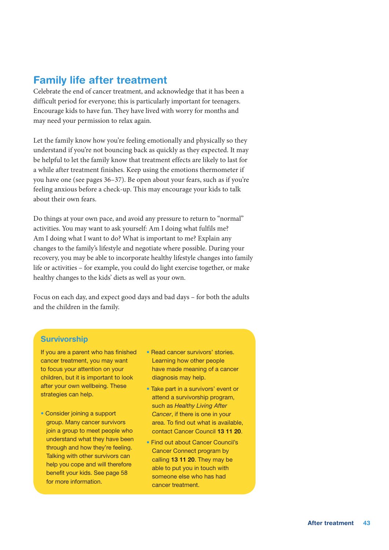#### Family life after treatment

Celebrate the end of cancer treatment, and acknowledge that it has been a difficult period for everyone; this is particularly important for teenagers. Encourage kids to have fun. They have lived with worry for months and may need your permission to relax again.

Let the family know how you're feeling emotionally and physically so they understand if you're not bouncing back as quickly as they expected. It may be helpful to let the family know that treatment effects are likely to last for a while after treatment finishes. Keep using the emotions thermometer if you have one (see pages 36–37). Be open about your fears, such as if you're feeling anxious before a check-up. This may encourage your kids to talk about their own fears.

Do things at your own pace, and avoid any pressure to return to "normal" activities. You may want to ask yourself: Am I doing what fulfils me? Am I doing what I want to do? What is important to me? Explain any changes to the family's lifestyle and negotiate where possible. During your recovery, you may be able to incorporate healthy lifestyle changes into family life or activities – for example, you could do light exercise together, or make healthy changes to the kids' diets as well as your own.

Focus on each day, and expect good days and bad days – for both the adults and the children in the family.

#### **Survivorship**

If you are a parent who has finished cancer treatment, you may want to focus your attention on your children, but it is important to look after your own wellbeing. These strategies can help.

- Consider joining a support group. Many cancer survivors join a group to meet people who understand what they have been through and how they're feeling. Talking with other survivors can help you cope and will therefore benefit your kids. See page 58 for more information.
- Read cancer survivors' stories. Learning how other people have made meaning of a cancer diagnosis may help.
- Take part in a survivors' event or attend a survivorship program, such as *Healthy Living After Cancer*, if there is one in your area. To find out what is available, contact Cancer Council 13 11 20.
- Find out about Cancer Council's Cancer Connect program by calling 13 11 20. They may be able to put you in touch with someone else who has had cancer treatment.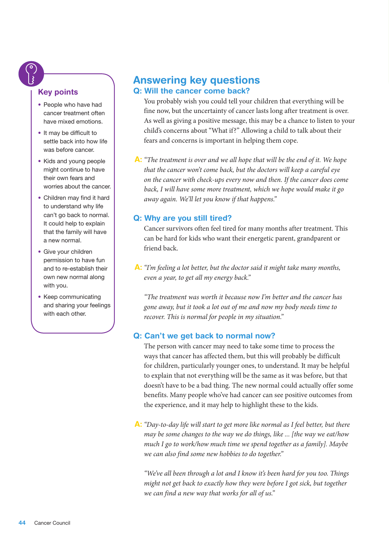#### Key points

- People who have had cancer treatment often have mixed emotions.
- It may be difficult to settle back into how life was before cancer.
- Kids and young people might continue to have their own fears and worries about the cancer.
- Children may find it hard to understand why life can't go back to normal. It could help to explain that the family will have a new normal.
- Give your children permission to have fun and to re-establish their own new normal along with you.
- Keep communicating and sharing your feelings with each other.

#### Answering key questions Q: Will the cancer come back?

You probably wish you could tell your children that everything will be fine now, but the uncertainty of cancer lasts long after treatment is over. As well as giving a positive message, this may be a chance to listen to your child's concerns about "What if?" Allowing a child to talk about their fears and concerns is important in helping them cope.

A: *"The treatment is over and we all hope that will be the end of it. We hope that the cancer won't come back, but the doctors will keep a careful eye on the cancer with check-ups every now and then. If the cancer does come back, I will have some more treatment, which we hope would make it go away again. We'll let you know if that happens."*

#### Q: Why are you still tired?

Cancer survivors often feel tired for many months after treatment. This can be hard for kids who want their energetic parent, grandparent or friend back.

A: *"I'm feeling a lot better, but the doctor said it might take many months, even a year, to get all my energy back."*

*"The treatment was worth it because now I'm better and the cancer has gone away, but it took a lot out of me and now my body needs time to recover. This is normal for people in my situation."*

#### Q: Can't we get back to normal now?

The person with cancer may need to take some time to process the ways that cancer has affected them, but this will probably be difficult for children, particularly younger ones, to understand. It may be helpful to explain that not everything will be the same as it was before, but that doesn't have to be a bad thing. The new normal could actually offer some benefits. Many people who've had cancer can see positive outcomes from the experience, and it may help to highlight these to the kids.

A: *"Day-to-day life will start to get more like normal as I feel better, but there may be some changes to the way we do things, like ... [the way we eat/how much I go to work/how much time we spend together as a family]. Maybe we can also find some new hobbies to do together."*

*"We've all been through a lot and I know it's been hard for you too. Things might not get back to exactly how they were before I got sick, but together we can find a new way that works for all of us."*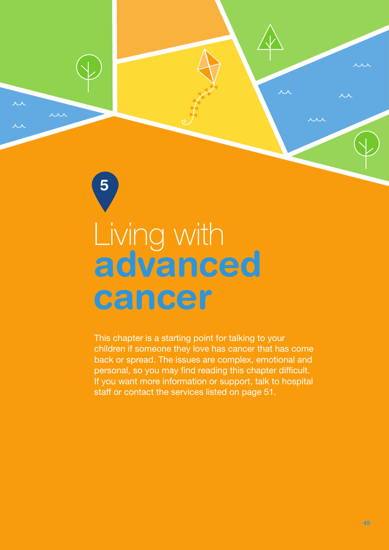<span id="page-46-0"></span>

continue questions

 $\lambda$   $\lambda$   $\lambda$ 

 $\overline{\mathcal{M}}$ 

5

This chapter is a starting point for talking to your children if someone they love has cancer that has come back or spread. The issues are complex, emotional and personal, so you may find reading this chapter difficult. If you want more information or support, talk to hospital staff or contact the services listed on page 51.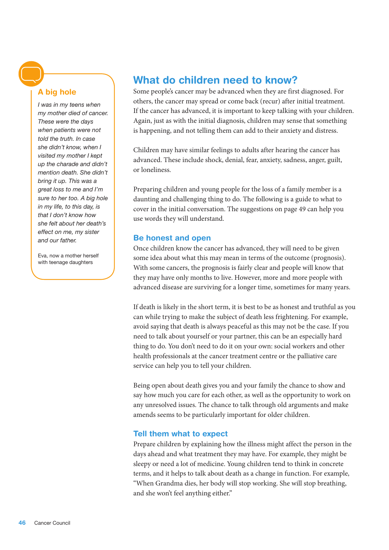#### A big hole

*I was in my teens when my mother died of cancer. These were the days when patients were not told the truth. In case she didn't know, when I visited my mother I kept up the charade and didn't mention death. She didn't bring it up. This was a great loss to me and I'm sure to her too. A big hole in my life, to this day, is that I don't know how she felt about her death's effect on me, my sister and our father.*

Eva, now a mother herself with teenage daughters

#### What do children need to know?

Some people's cancer may be advanced when they are first diagnosed. For others, the cancer may spread or come back (recur) after initial treatment. If the cancer has advanced, it is important to keep talking with your children. Again, just as with the initial diagnosis, children may sense that something is happening, and not telling them can add to their anxiety and distress.

Children may have similar feelings to adults after hearing the cancer has advanced. These include shock, denial, fear, anxiety, sadness, anger, guilt, or loneliness.

Preparing children and young people for the loss of a family member is a daunting and challenging thing to do. The following is a guide to what to cover in the initial conversation. The suggestions on page 49 can help you use words they will understand.

#### Be honest and open

Once children know the cancer has advanced, they will need to be given some idea about what this may mean in terms of the outcome (prognosis). With some cancers, the prognosis is fairly clear and people will know that they may have only months to live. However, more and more people with advanced disease are surviving for a longer time, sometimes for many years.

If death is likely in the short term, it is best to be as honest and truthful as you can while trying to make the subject of death less frightening. For example, avoid saying that death is always peaceful as this may not be the case. If you need to talk about yourself or your partner, this can be an especially hard thing to do. You don't need to do it on your own: social workers and other health professionals at the cancer treatment centre or the palliative care service can help you to tell your children.

Being open about death gives you and your family the chance to show and say how much you care for each other, as well as the opportunity to work on any unresolved issues. The chance to talk through old arguments and make amends seems to be particularly important for older children.

#### Tell them what to expect

Prepare children by explaining how the illness might affect the person in the days ahead and what treatment they may have. For example, they might be sleepy or need a lot of medicine. Young children tend to think in concrete terms, and it helps to talk about death as a change in function. For example, "When Grandma dies, her body will stop working. She will stop breathing, and she won't feel anything either."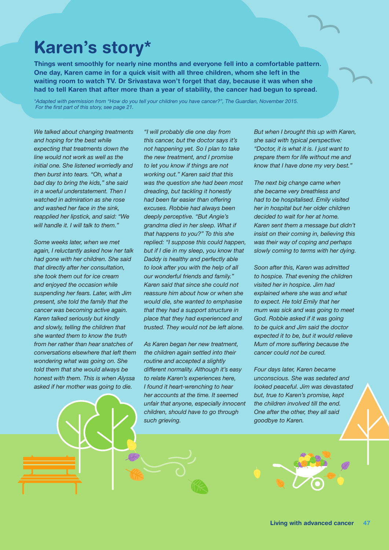# Karen's story\*

Things went smoothly for nearly nine months and everyone fell into a comfortable pattern. One day, Karen came in for a quick visit with all three children, whom she left in the waiting room to watch TV. Dr Srivastava won't forget that day, because it was when she had to tell Karen that after more than a year of stability, the cancer had begun to spread.

*\*Adapted with permission from "How do you tell your children you have cancer?", The Guardian, November 2015. For the first part of this story, see page 21.*

*We talked about changing treatments and hoping for the best while expecting that treatments down the line would not work as well as the initial one. She listened worriedly and then burst into tears. "Oh, what a bad day to bring the kids," she said in a woeful understatement. Then I watched in admiration as she rose and washed her face in the sink, reapplied her lipstick, and said: "We will handle it. I will talk to them."*

*Some weeks later, when we met again, I reluctantly asked how her talk had gone with her children. She said that directly after her consultation, she took them out for ice cream and enjoyed the occasion while suspending her fears. Later, with Jim present, she told the family that the cancer was becoming active again. Karen talked seriously but kindly and slowly, telling the children that she wanted them to know the truth from her rather than hear snatches of conversations elsewhere that left them wondering what was going on. She told them that she would always be honest with them. This is when Alyssa asked if her mother was going to die.*

 $11$ 

*"I will probably die one day from this cancer, but the doctor says it's not happening yet. So I plan to take the new treatment, and I promise to let you know if things are not working out." Karen said that this was the question she had been most dreading, but tackling it honestly had been far easier than offering excuses. Robbie had always been deeply perceptive. "But Angie's grandma died in her sleep. What if that happens to you?" To this she replied: "I suppose this could happen, but if I die in my sleep, you know that Daddy is healthy and perfectly able to look after you with the help of all our wonderful friends and family." Karen said that since she could not reassure him about how or when she would die, she wanted to emphasise that they had a support structure in place that they had experienced and trusted. They would not be left alone.*

*As Karen began her new treatment, the children again settled into their routine and accepted a slightly different normality. Although it's easy to relate Karen's experiences here, I found it heart-wrenching to hear her accounts at the time. It seemed unfair that anyone, especially innocent children, should have to go through such grieving.* 

*But when I brought this up with Karen, she said with typical perspective: "Doctor, it is what it is. I just want to prepare them for life without me and know that I have done my very best."*

*The next big change came when she became very breathless and had to be hospitalised. Emily visited her in hospital but her older children decided to wait for her at home. Karen sent them a message but didn't insist on their coming in, believing this was their way of coping and perhaps slowly coming to terms with her dying.*

*Soon after this, Karen was admitted to hospice. That evening the children visited her in hospice. Jim had explained where she was and what to expect. He told Emily that her mum was sick and was going to meet God. Robbie asked if it was going to be quick and Jim said the doctor expected it to be, but it would relieve Mum of more suffering because the cancer could not be cured.*

*Four days later, Karen became unconscious. She was sedated and looked peaceful. Jim was devastated but, true to Karen's promise, kept the children involved till the end. One after the other, they all said goodbye to Karen.*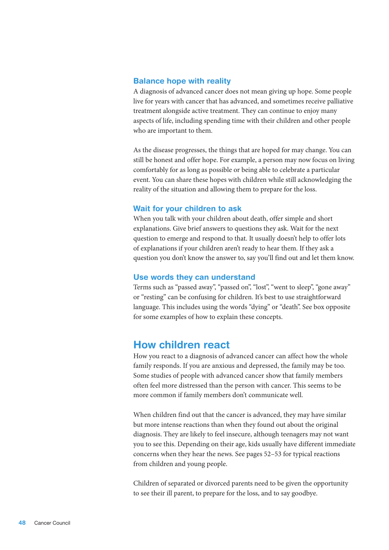#### Balance hope with reality

A diagnosis of advanced cancer does not mean giving up hope. Some people live for years with cancer that has advanced, and sometimes receive palliative treatment alongside active treatment. They can continue to enjoy many aspects of life, including spending time with their children and other people who are important to them.

As the disease progresses, the things that are hoped for may change. You can still be honest and offer hope. For example, a person may now focus on living comfortably for as long as possible or being able to celebrate a particular event. You can share these hopes with children while still acknowledging the reality of the situation and allowing them to prepare for the loss.

#### Wait for your children to ask

When you talk with your children about death, offer simple and short explanations. Give brief answers to questions they ask. Wait for the next question to emerge and respond to that. It usually doesn't help to offer lots of explanations if your children aren't ready to hear them. If they ask a question you don't know the answer to, say you'll find out and let them know.

#### Use words they can understand

Terms such as "passed away", "passed on", "lost", "went to sleep", "gone away" or "resting" can be confusing for children. It's best to use straightforward language. This includes using the words "dying" or "death". See box opposite for some examples of how to explain these concepts.

#### How children react

How you react to a diagnosis of advanced cancer can affect how the whole family responds. If you are anxious and depressed, the family may be too. Some studies of people with advanced cancer show that family members often feel more distressed than the person with cancer. This seems to be more common if family members don't communicate well.

When children find out that the cancer is advanced, they may have similar but more intense reactions than when they found out about the original diagnosis. They are likely to feel insecure, although teenagers may not want you to see this. Depending on their age, kids usually have different immediate concerns when they hear the news. See pages 52–53 for typical reactions from children and young people.

Children of separated or divorced parents need to be given the opportunity to see their ill parent, to prepare for the loss, and to say goodbye.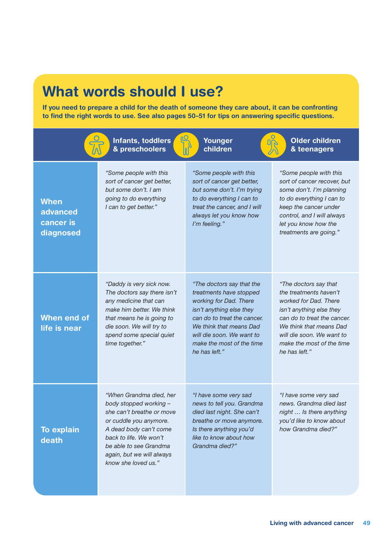# What words should I use?

If you need to prepare a child for the death of someone they care about, it can be confronting to find the right words to use. See also pages 50–51 for tips on answering specific questions.

|                                                   | Infants, toddlers<br>& preschoolers                                                                                                                                                                                                        | Younger<br>children                                                                                                                                                                                                                             | <b>Older children</b><br>& teenagers                                                                                                                                                                                                      |
|---------------------------------------------------|--------------------------------------------------------------------------------------------------------------------------------------------------------------------------------------------------------------------------------------------|-------------------------------------------------------------------------------------------------------------------------------------------------------------------------------------------------------------------------------------------------|-------------------------------------------------------------------------------------------------------------------------------------------------------------------------------------------------------------------------------------------|
| <b>When</b><br>advanced<br>cancer is<br>diagnosed | "Some people with this<br>sort of cancer get better,<br>but some don't. I am<br>going to do everything<br>I can to get better."                                                                                                            | "Some people with this<br>sort of cancer get better,<br>but some don't. I'm trying<br>to do everything I can to<br>treat the cancer, and I will<br>always let you know how<br>I'm feeling."                                                     | "Some people with this<br>sort of cancer recover, but<br>some don't. I'm planning<br>to do everything I can to<br>keep the cancer under<br>control, and I will always<br>let you know how the<br>treatments are going."                   |
| When end of<br>life is near                       | "Daddy is very sick now.<br>The doctors say there isn't<br>any medicine that can<br>make him better. We think<br>that means he is going to<br>die soon. We will try to<br>spend some special quiet<br>time together."                      | "The doctors say that the<br>treatments have stopped<br>working for Dad. There<br>isn't anything else they<br>can do to treat the cancer.<br>We think that means Dad<br>will die soon. We want to<br>make the most of the time<br>he has left." | "The doctors say that<br>the treatments haven't<br>worked for Dad. There<br>isn't anything else they<br>can do to treat the cancer.<br>We think that means Dad<br>will die soon. We want to<br>make the most of the time<br>he has left." |
| <b>To explain</b><br>death                        | "When Grandma died, her<br>body stopped working -<br>she can't breathe or move<br>or cuddle you anymore.<br>A dead body can't come<br>back to life. We won't<br>be able to see Grandma<br>again, but we will always<br>know she loved us." | "I have some very sad<br>news to tell you. Grandma<br>died last night. She can't<br>breathe or move anymore.<br>Is there anything you'd<br>like to know about how<br>Grandma died?"                                                             | "I have some very sad<br>news. Grandma died last<br>night  Is there anything<br>you'd like to know about<br>how Grandma died?"                                                                                                            |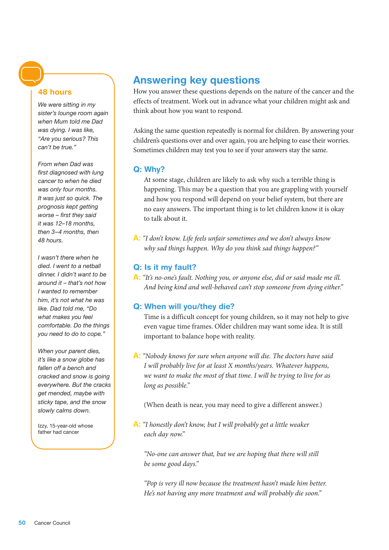#### 48 hours

*We were sitting in my sister's lounge room again when Mum told me Dad was dying. I was like, "Are you serious? This can't be true."* 

*From when Dad was first diagnosed with lung cancer to when he died was only four months. It was just so quick. The prognosis kept getting worse – first they said it was 12–18 months, then 3–4 months, then 48 hours.* 

*I wasn't there when he died. I went to a netball dinner. I didn't want to be around it – that's not how I wanted to remember him, it's not what he was like. Dad told me, "Do what makes you feel comfortable. Do the things you need to do to cope."*

*When your parent dies, it's like a snow globe has fallen off a bench and cracked and snow is going everywhere. But the cracks get mended, maybe with sticky tape, and the snow slowly calms down.*

Izzy, 15-year-old whose father had cancer

#### Answering key questions

How you answer these questions depends on the nature of the cancer and the effects of treatment. Work out in advance what your children might ask and think about how you want to respond.

Asking the same question repeatedly is normal for children. By answering your children's questions over and over again, you are helping to ease their worries. Sometimes children may test you to see if your answers stay the same.

#### Q: Why?

At some stage, children are likely to ask why such a terrible thing is happening. This may be a question that you are grappling with yourself and how you respond will depend on your belief system, but there are no easy answers. The important thing is to let children know it is okay to talk about it.

A: *"I don't know. Life feels unfair sometimes and we don't always know why sad things happen. Why do you think sad things happen?"*

#### Q: Is it my fault?

A: *"It's no-one's fault. Nothing you, or anyone else, did or said made me ill. And being kind and well-behaved can't stop someone from dying either."*

#### Q: When will you/they die?

Time is a difficult concept for young children, so it may not help to give even vague time frames. Older children may want some idea. It is still important to balance hope with reality.

A: *"Nobody knows for sure when anyone will die. The doctors have said I will probably live for at least X months/years. Whatever happens, we want to make the most of that time. I will be trying to live for as long as possible."*

(When death is near, you may need to give a different answer.)

A: *"I honestly don't know, but I will probably get a little weaker each day now."*

*"No-one can answer that, but we are hoping that there will still be some good days."*

*"Pop is very ill now because the treatment hasn't made him better. He's not having any more treatment and will probably die soon."*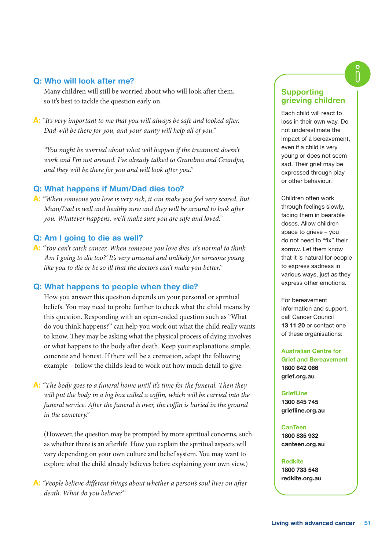#### Q: Who will look after me?

Many children will still be worried about who will look after them, so it's best to tackle the question early on.

A: *"It's very important to me that you will always be safe and looked after. Dad will be there for you, and your aunty will help all of you."*

*"You might be worried about what will happen if the treatment doesn't work and I'm not around. I've already talked to Grandma and Grandpa, and they will be there for you and will look after you."*

#### Q: What happens if Mum/Dad dies too?

A: *"When someone you love is very sick, it can make you feel very scared. But Mum/Dad is well and healthy now and they will be around to look after you. Whatever happens, we'll make sure you are safe and loved."*

#### Q: Am I going to die as well?

A: *"You can't catch cancer. When someone you love dies, it's normal to think 'Am I going to die too?' It's very unusual and unlikely for someone young like you to die or be so ill that the doctors can't make you better."*

#### Q: What happens to people when they die?

How you answer this question depends on your personal or spiritual beliefs. You may need to probe further to check what the child means by this question. Responding with an open-ended question such as "What do you think happens?" can help you work out what the child really wants to know. They may be asking what the physical process of dying involves or what happens to the body after death. Keep your explanations simple, concrete and honest. If there will be a cremation, adapt the following example – follow the child's lead to work out how much detail to give.

A: *"The body goes to a funeral home until it's time for the funeral. Then they*  will put the body in a big box called a coffin, which will be carried into the *funeral service. After the funeral is over, the coffin is buried in the ground in the cemetery."*

(However, the question may be prompted by more spiritual concerns, such as whether there is an afterlife. How you explain the spiritual aspects will vary depending on your own culture and belief system. You may want to explore what the child already believes before explaining your own view.)

A: *"People believe different things about whether a person's soul lives on after death. What do you believe?"*

#### **Supporting** grieving children

Each child will react to loss in their own way. Do not underestimate the impact of a bereavement, even if a child is very young or does not seem sad. Their grief may be expressed through play or other behaviour.

Children often work through feelings slowly, facing them in bearable doses. Allow children space to grieve – you do not need to "fix" their sorrow. Let them know that it is natural for people to express sadness in various ways, just as they express other emotions.

For bereavement information and support, call Cancer Council 13 11 20 or contact one of these organisations:

Australian Centre for Grief and Bereavement 1800 642 066 [grief.org.au](http://grief.org.au)

**GriefLine** 1300 845 745 [griefline.org.au](http://griefline.org.au)

CanTeen 1800 835 932 [canteen.org.au](http://canteen.org.au)

Redkite 1800 733 548

[redkite.org.au](http://redkite.org.au)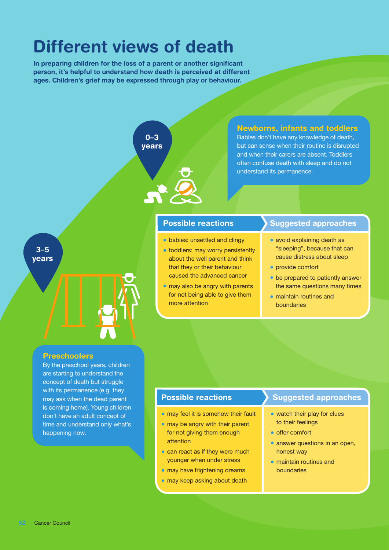# Different views of death

In preparing children for the loss of a parent or another significant person, it's helpful to understand how death is perceived at different ages. Children's grief may be expressed through play or behaviour.



are starting to understand the concept of death but struggle with its permanence (e.g. they may ask when the dead parent is coming home). Young children don't have an adult concept of time and understand only what's happening now.

#### Possible reactions

- may feel it is somehow their fault
- may be angry with their parent for not giving them enough attention
- can react as if they were much younger when under stress
- may have frightening dreams
- may keep asking about death

- watch their play for clues to their feelings
- offer comfort
- answer questions in an open, honest way
- maintain routines and boundaries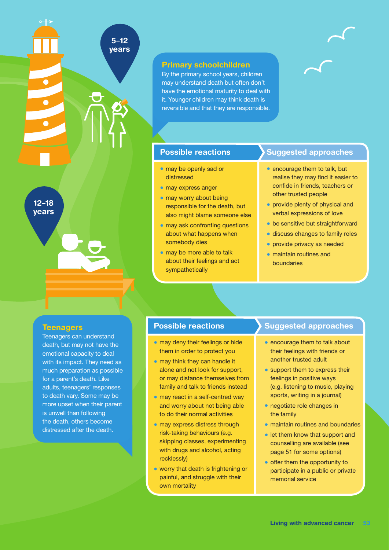12–18 years

#### **Teenagers**

Teenagers can understand death, but may not have the emotional capacity to deal with its impact. They need as much preparation as possible for a parent's death. Like adults, teenagers' responses to death vary. Some may be more upset when their parent is unwell than following the death, others become distressed after the death.

#### Primary schoolchildren

5–12 years

> By the primary school years, children may understand death but often don't have the emotional maturity to deal with it. Younger children may think death is reversible and that they are responsible.

#### Possible reactions

- may be openly sad or distressed
- may express anger
- may worry about being responsible for the death, but also might blame someone else
- may ask confronting questions about what happens when somebody dies
- may be more able to talk about their feelings and act sympathetically

#### Suggested approaches

- encourage them to talk, but realise they may find it easier to confide in friends, teachers or other trusted people
- provide plenty of physical and verbal expressions of love
- be sensitive but straightforward
- discuss changes to family roles
- provide privacy as needed
- maintain routines and boundaries

#### Possible reactions

- may deny their feelings or hide them in order to protect you
- may think they can handle it alone and not look for support, or may distance themselves from family and talk to friends instead
- may react in a self-centred way and worry about not being able to do their normal activities
- may express distress through risk-taking behaviours (e.g. skipping classes, experimenting with drugs and alcohol, acting recklessly)
- worry that death is frightening or painful, and struggle with their own mortality

- encourage them to talk about their feelings with friends or another trusted adult
- support them to express their feelings in positive ways (e.g. listening to music, playing sports, writing in a journal)
- negotiate role changes in the family
- maintain routines and boundaries
- let them know that support and counselling are available (see page 51 for some options)
- offer them the opportunity to participate in a public or private memorial service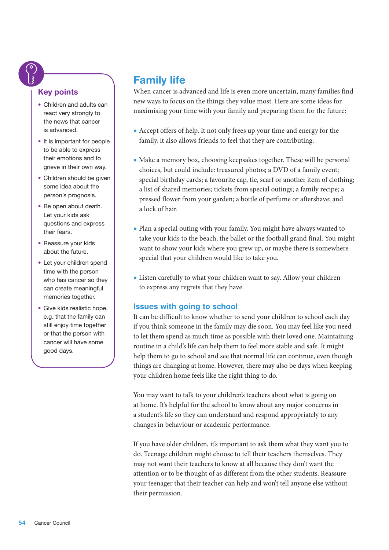#### Key points

- Children and adults can react very strongly to the news that cancer is advanced.
- It is important for people to be able to express their emotions and to grieve in their own way.
- Children should be given some idea about the person's prognosis.
- Be open about death. Let your kids ask questions and express their fears.
- Reassure your kids about the future.
- Let your children spend time with the person who has cancer so they can create meaningful memories together.
- Give kids realistic hope, e.g. that the family can still enjoy time together or that the person with cancer will have some good days.

### Family life

When cancer is advanced and life is even more uncertain, many families find new ways to focus on the things they value most. Here are some ideas for maximising your time with your family and preparing them for the future:

- Accept offers of help. It not only frees up your time and energy for the family, it also allows friends to feel that they are contributing.
- Make a memory box, choosing keepsakes together. These will be personal choices, but could include: treasured photos; a DVD of a family event; special birthday cards; a favourite cap, tie, scarf or another item of clothing; a list of shared memories; tickets from special outings; a family recipe; a pressed flower from your garden; a bottle of perfume or aftershave; and a lock of hair.
- Plan a special outing with your family. You might have always wanted to take your kids to the beach, the ballet or the football grand final. You might want to show your kids where you grew up, or maybe there is somewhere special that your children would like to take you.
- Listen carefully to what your children want to say. Allow your children to express any regrets that they have.

#### Issues with going to school

It can be difficult to know whether to send your children to school each day if you think someone in the family may die soon. You may feel like you need to let them spend as much time as possible with their loved one. Maintaining routine in a child's life can help them to feel more stable and safe. It might help them to go to school and see that normal life can continue, even though things are changing at home. However, there may also be days when keeping your children home feels like the right thing to do.

You may want to talk to your children's teachers about what is going on at home. It's helpful for the school to know about any major concerns in a student's life so they can understand and respond appropriately to any changes in behaviour or academic performance.

If you have older children, it's important to ask them what they want you to do. Teenage children might choose to tell their teachers themselves. They may not want their teachers to know at all because they don't want the attention or to be thought of as different from the other students. Reassure your teenager that their teacher can help and won't tell anyone else without their permission.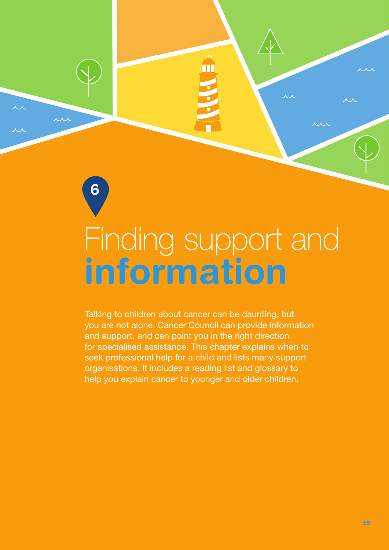# <span id="page-56-0"></span>information Finding support and

m

6

**uu** 

Talking to children about cancer can be daunting, but you are not alone. Cancer Council can provide information and support, and can point you in the right direction for specialised assistance. This chapter explains when to seek professional help for a child and lists many support organisations. It includes a reading list and glossary to help you explain cancer to younger and older children.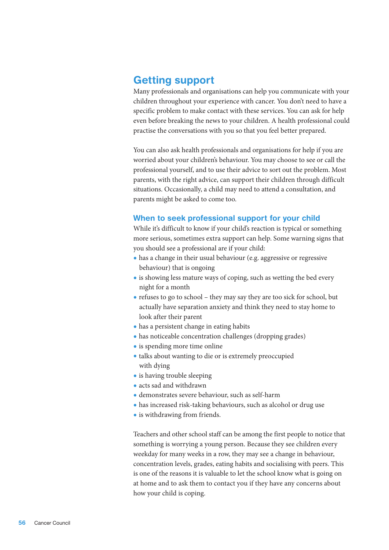#### Getting support

Many professionals and organisations can help you communicate with your children throughout your experience with cancer. You don't need to have a specific problem to make contact with these services. You can ask for help even before breaking the news to your children. A health professional could practise the conversations with you so that you feel better prepared.

You can also ask health professionals and organisations for help if you are worried about your children's behaviour. You may choose to see or call the professional yourself, and to use their advice to sort out the problem. Most parents, with the right advice, can support their children through difficult situations. Occasionally, a child may need to attend a consultation, and parents might be asked to come too.

#### When to seek professional support for your child

While it's difficult to know if your child's reaction is typical or something more serious, sometimes extra support can help. Some warning signs that you should see a professional are if your child:

- has a change in their usual behaviour (e.g. aggressive or regressive behaviour) that is ongoing
- is showing less mature ways of coping, such as wetting the bed every night for a month
- refuses to go to school they may say they are too sick for school, but actually have separation anxiety and think they need to stay home to look after their parent
- has a persistent change in eating habits
- has noticeable concentration challenges (dropping grades)
- is spending more time online
- talks about wanting to die or is extremely preoccupied with dying
- is having trouble sleeping
- acts sad and withdrawn
- demonstrates severe behaviour, such as self-harm
- has increased risk-taking behaviours, such as alcohol or drug use
- is withdrawing from friends.

Teachers and other school staff can be among the first people to notice that something is worrying a young person. Because they see children every weekday for many weeks in a row, they may see a change in behaviour, concentration levels, grades, eating habits and socialising with peers. This is one of the reasons it is valuable to let the school know what is going on at home and to ask them to contact you if they have any concerns about how your child is coping.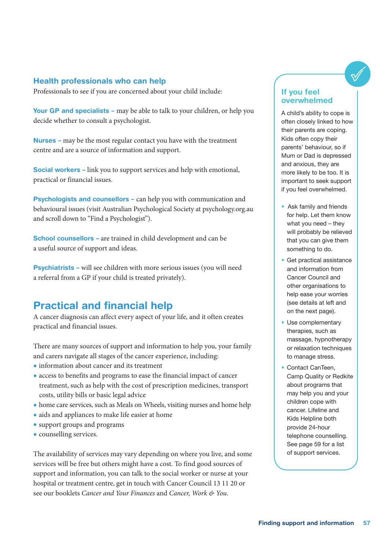#### Health professionals who can help

Professionals to see if you are concerned about your child include:

Your GP and specialists – may be able to talk to your children, or help you decide whether to consult a psychologist.

Nurses – may be the most regular contact you have with the treatment centre and are a source of information and support.

Social workers – link you to support services and help with emotional, practical or financial issues.

**Psychologists and counsellors –** can help you with communication and behavioural issues (visit Australian Psychological Society at [psychology.org.au](http://psychology.org.au) and scroll down to "Find a Psychologist").

School counsellors – are trained in child development and can be a useful source of support and ideas.

Psychiatrists – will see children with more serious issues (you will need a referral from a GP if your child is treated privately).

#### Practical and financial help

A cancer diagnosis can affect every aspect of your life, and it often creates practical and financial issues.

There are many sources of support and information to help you, your family and carers navigate all stages of the cancer experience, including:

- information about cancer and its treatment
- access to benefits and programs to ease the financial impact of cancer treatment, such as help with the cost of prescription medicines, transport costs, utility bills or basic legal advice
- home care services, such as Meals on Wheels, visiting nurses and home help
- aids and appliances to make life easier at home
- support groups and programs
- counselling services.

The availability of services may vary depending on where you live, and some services will be free but others might have a cost. To find good sources of support and information, you can talk to the social worker or nurse at your hospital or treatment centre, get in touch with Cancer Council 13 11 20 or see our booklets *Cancer and Your Finances* and *Cancer, Work & You*.

#### If you feel overwhelmed

A child's ability to cope is often closely linked to how their parents are coping. Kids often copy their parents' behaviour, so if Mum or Dad is depressed and anxious, they are more likely to be too. It is important to seek support if you feel overwhelmed.

- Ask family and friends for help. Let them know what you need – they will probably be relieved that you can give them something to do.
- Get practical assistance and information from Cancer Council and other organisations to help ease your worries (see details at left and on the next page).
- Use complementary therapies, such as massage, hypnotherapy or relaxation techniques to manage stress.
- Contact CanTeen, Camp Quality or Redkite about programs that may help you and your children cope with cancer. Lifeline and Kids Helpline both provide 24-hour telephone counselling. See page 59 for a list of support services.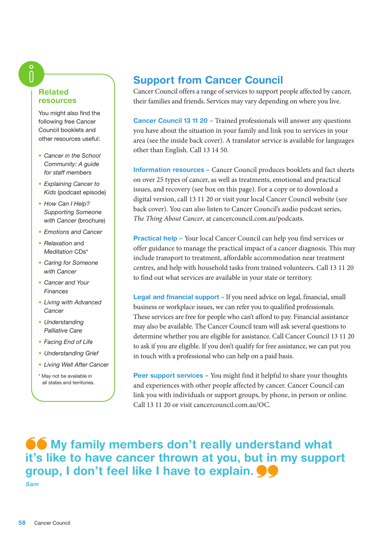#### Related resources

You might also find the following free Cancer Council booklets and other resources useful:

- *Cancer in the School Community: A guide for staff members*
- *Explaining Cancer to Kids* (podcast episode)
- *How Can I Help? Supporting Someone with Cancer* (brochure)
- *Emotions and Cancer*
- *Relaxation* and *Meditation* CDs\*
- *Caring for Someone with Cancer*
- *Cancer and Your Finances*
- *Living with Advanced Cancer*
- *Understanding Palliative Care*
- *Facing End of Life*
- *Understanding Grief*
- *Living Well After Cancer*

\* May not be available in all states and territories.

### Support from Cancer Council

Cancer Council offers a range of services to support people affected by cancer, their families and friends. Services may vary depending on where you live.

Cancer Council 13 11 20 – Trained professionals will answer any questions you have about the situation in your family and link you to services in your area (see the inside back cover). A translator service is available for languages other than English. Call 13 14 50.

Information resources – Cancer Council produces booklets and fact sheets on over 25 types of cancer, as well as treatments, emotional and practical issues, and recovery (see box on this page). For a copy or to download a digital version, call 13 11 20 or visit your local Cancer Council website (see back cover). You can also listen to Cancer Council's audio podcast series, *The Thing About Cancer*, at [cancercouncil.com.au/podcasts](https://www.cancercouncil.com.au/podcasts/).

Practical help – Your local Cancer Council can help you find services or offer guidance to manage the practical impact of a cancer diagnosis. This may include transport to treatment, affordable accommodation near treatment centres, and help with household tasks from trained volunteers. Call 13 11 20 to find out what services are available in your state or territory.

**Legal and financial support – If you need advice on legal, financial, small** business or workplace issues, we can refer you to qualified professionals. These services are free for people who can't afford to pay. Financial assistance may also be available. The Cancer Council team will ask several questions to determine whether you are eligible for assistance. Call Cancer Council 13 11 20 to ask if you are eligible. If you don't qualify for free assistance, we can put you in touch with a professional who can help on a paid basis.

Peer support services - You might find it helpful to share your thoughts and experiences with other people affected by cancer. Cancer Council can link you with individuals or support groups, by phone, in person or online. Call 13 11 20 or visit [cancercouncil.com.au/OC](http://cancercouncil.com.au/OC).

**66 My family members don't really understand what** it's like to have cancer thrown at you, but in my support group, I don't feel like I have to explain. Sam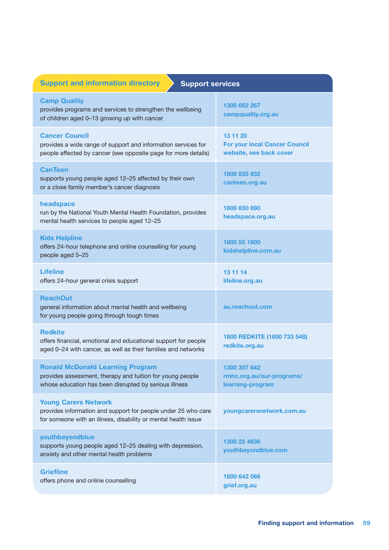| <b>Support and information directory</b><br><b>Support services</b>                                                                                            |                                                                             |  |
|----------------------------------------------------------------------------------------------------------------------------------------------------------------|-----------------------------------------------------------------------------|--|
| <b>Camp Quality</b><br>provides programs and services to strengthen the wellbeing<br>of children aged 0-13 growing up with cancer                              | 1300 662 267<br>campquality.org.au                                          |  |
| <b>Cancer Council</b><br>provides a wide range of support and information services for<br>people affected by cancer (see opposite page for more details)       | 13 11 20<br><b>For your local Cancer Council</b><br>website, see back cover |  |
| <b>CanTeen</b><br>supports young people aged 12-25 affected by their own<br>or a close family member's cancer diagnosis                                        | 1800 835 932<br>canteen.org.au                                              |  |
| headspace<br>run by the National Youth Mental Health Foundation, provides<br>mental health services to people aged 12-25                                       | 1800 650 890<br>headspace.org.au                                            |  |
| <b>Kids Helpline</b><br>offers 24-hour telephone and online counselling for young<br>people aged 5-25                                                          | 1800 55 1800<br>kidshelpline.com.au                                         |  |
| <b>Lifeline</b><br>offers 24-hour general crisis support                                                                                                       | 13 11 14<br>lifeline.org.au                                                 |  |
| <b>ReachOut</b><br>general information about mental health and wellbeing<br>for young people going through tough times                                         | au.reachout.com                                                             |  |
| <b>Redkite</b><br>offers financial, emotional and educational support for people<br>aged 0-24 with cancer, as well as their families and networks              | 1800 REDKITE (1800 733 548)<br>redkite.org.au                               |  |
| <b>Ronald McDonald Learning Program</b><br>provides assessment, therapy and tuition for young people<br>whose education has been disrupted by serious illness  | 1300 307 642<br>rmhc.org.au/our-programs/<br>learning-program               |  |
| <b>Young Carers Network</b><br>provides information and support for people under 25 who care<br>for someone with an illness, disability or mental health issue | youngcarersnetwork.com.au                                                   |  |
| youthbeyondblue<br>supports young people aged 12-25 dealing with depression,<br>anxiety and other mental health problems                                       | 1300 22 4636<br>youthbeyondblue.com                                         |  |
| <b>Griefline</b><br>offers phone and online counselling                                                                                                        | 1800 642 066<br>grief.org.au                                                |  |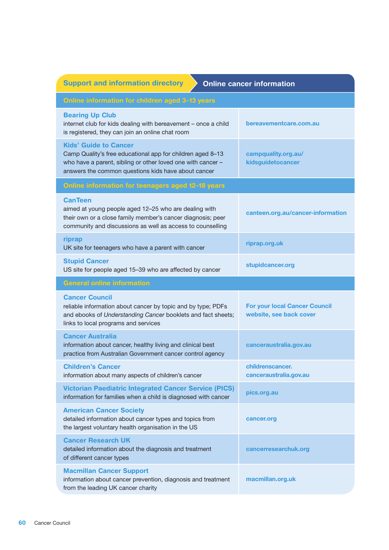| <b>Support and information directory</b><br><b>Online cancer information</b>                                                                                                                                     |                                                                 |  |
|------------------------------------------------------------------------------------------------------------------------------------------------------------------------------------------------------------------|-----------------------------------------------------------------|--|
| Online information for children aged 3-13 years                                                                                                                                                                  |                                                                 |  |
| <b>Bearing Up Club</b><br>internet club for kids dealing with bereavement - once a child<br>is registered, they can join an online chat room                                                                     | bereavementcare.com.au                                          |  |
| <b>Kids' Guide to Cancer</b><br>Camp Quality's free educational app for children aged 8-13<br>who have a parent, sibling or other loved one with cancer -<br>answers the common questions kids have about cancer | campquality.org.au/<br>kidsguidetocancer                        |  |
| Online information for teenagers aged 12-18 years                                                                                                                                                                |                                                                 |  |
| <b>CanTeen</b><br>aimed at young people aged 12-25 who are dealing with<br>their own or a close family member's cancer diagnosis; peer<br>community and discussions as well as access to counselling             | canteen.org.au/cancer-information                               |  |
| riprap<br>UK site for teenagers who have a parent with cancer                                                                                                                                                    | riprap.org.uk                                                   |  |
| <b>Stupid Cancer</b><br>US site for people aged 15-39 who are affected by cancer                                                                                                                                 | stupidcancer.org                                                |  |
| <b>General online information</b>                                                                                                                                                                                |                                                                 |  |
| <b>Cancer Council</b><br>reliable information about cancer by topic and by type; PDFs<br>and ebooks of Understanding Cancer booklets and fact sheets;<br>links to local programs and services                    | <b>For your local Cancer Council</b><br>website, see back cover |  |
| <b>Cancer Australia</b><br>information about cancer, healthy living and clinical best<br>practice from Australian Government cancer control agency                                                               | canceraustralia.gov.au                                          |  |
| <b>Children's Cancer</b><br>information about many aspects of children's cancer                                                                                                                                  | childrenscancer.<br>canceraustralia.gov.au                      |  |
| <b>Victorian Paediatric Integrated Cancer Service (PICS)</b><br>information for families when a child is diagnosed with cancer                                                                                   | pics.org.au                                                     |  |
| <b>American Cancer Society</b><br>detailed information about cancer types and topics from<br>the largest voluntary health organisation in the US                                                                 | cancer.org                                                      |  |
| <b>Cancer Research UK</b><br>detailed information about the diagnosis and treatment<br>of different cancer types                                                                                                 | cancerresearchuk.org                                            |  |
| <b>Macmillan Cancer Support</b><br>information about cancer prevention, diagnosis and treatment<br>from the leading UK cancer charity                                                                            | macmillan.org.uk                                                |  |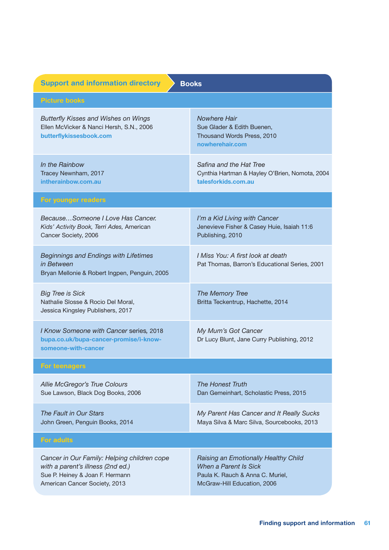| <b>Support and information directory</b><br><b>Books</b>                                                                                             |                                                                                                                                  |  |
|------------------------------------------------------------------------------------------------------------------------------------------------------|----------------------------------------------------------------------------------------------------------------------------------|--|
| <b>Picture books</b>                                                                                                                                 |                                                                                                                                  |  |
| <b>Butterfly Kisses and Wishes on Wings</b><br>Ellen McVicker & Nanci Hersh, S.N., 2006<br>butterflykissesbook.com                                   | <b>Nowhere Hair</b><br>Sue Glader & Edith Buenen,<br>Thousand Words Press, 2010<br>nowherehair.com                               |  |
| In the Rainbow<br>Tracey Newnham, 2017<br>intherainbow.com.au                                                                                        | Safina and the Hat Tree<br>Cynthia Hartman & Hayley O'Brien, Nomota, 2004<br>talesforkids.com.au                                 |  |
| For younger readers                                                                                                                                  |                                                                                                                                  |  |
| BecauseSomeone I Love Has Cancer.<br>Kids' Activity Book, Terri Ades, American<br>Cancer Society, 2006                                               | I'm a Kid Living with Cancer<br>Jenevieve Fisher & Casey Huie, Isaiah 11:6<br>Publishing, 2010                                   |  |
| <b>Beginnings and Endings with Lifetimes</b><br>in Between<br>Bryan Mellonie & Robert Ingpen, Penguin, 2005                                          | I Miss You: A first look at death<br>Pat Thomas, Barron's Educational Series, 2001                                               |  |
| <b>Big Tree is Sick</b><br>Nathalie Slosse & Rocio Del Moral,<br>Jessica Kingsley Publishers, 2017                                                   | The Memory Tree<br>Britta Teckentrup, Hachette, 2014                                                                             |  |
| I Know Someone with Cancer series, 2018<br>bupa.co.uk/bupa-cancer-promise/i-know-<br>someone-with-cancer                                             | My Mum's Got Cancer<br>Dr Lucy Blunt, Jane Curry Publishing, 2012                                                                |  |
| <b>For teenagers</b>                                                                                                                                 |                                                                                                                                  |  |
| Allie McGregor's True Colours<br>Sue Lawson, Black Dog Books, 2006                                                                                   | <b>The Honest Truth</b><br>Dan Gemeinhart, Scholastic Press, 2015                                                                |  |
| The Fault in Our Stars<br>John Green, Penguin Books, 2014                                                                                            | My Parent Has Cancer and It Really Sucks<br>Maya Silva & Marc Silva, Sourcebooks, 2013                                           |  |
| <b>For adults</b>                                                                                                                                    |                                                                                                                                  |  |
| Cancer in Our Family: Helping children cope<br>with a parent's illness (2nd ed.)<br>Sue P. Heiney & Joan F. Hermann<br>American Cancer Society, 2013 | Raising an Emotionally Healthy Child<br>When a Parent Is Sick<br>Paula K. Rauch & Anna C. Muriel,<br>McGraw-Hill Education, 2006 |  |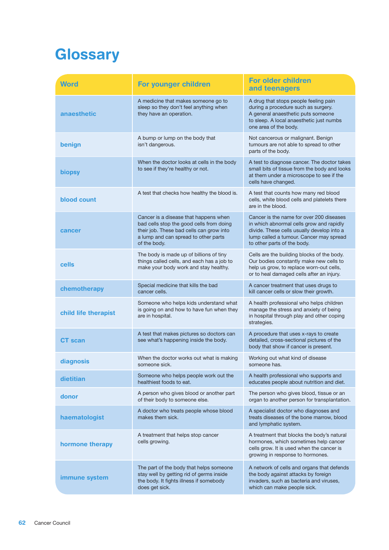# **Glossary**

| <b>Word</b>          | For younger children                                                                                                                                                                  | <b>For older children</b><br>and teenagers                                                                                                                                                                   |
|----------------------|---------------------------------------------------------------------------------------------------------------------------------------------------------------------------------------|--------------------------------------------------------------------------------------------------------------------------------------------------------------------------------------------------------------|
| anaesthetic          | A medicine that makes someone go to<br>sleep so they don't feel anything when<br>they have an operation.                                                                              | A drug that stops people feeling pain<br>during a procedure such as surgery.<br>A general anaesthetic puts someone<br>to sleep. A local anaesthetic just numbs<br>one area of the body.                      |
| benign               | A bump or lump on the body that<br>isn't dangerous.                                                                                                                                   | Not cancerous or malignant. Benign<br>tumours are not able to spread to other<br>parts of the body.                                                                                                          |
| <b>biopsy</b>        | When the doctor looks at cells in the body<br>to see if they're healthy or not.                                                                                                       | A test to diagnose cancer. The doctor takes<br>small bits of tissue from the body and looks<br>at them under a microscope to see if the<br>cells have changed.                                               |
| blood count          | A test that checks how healthy the blood is.                                                                                                                                          | A test that counts how many red blood<br>cells, white blood cells and platelets there<br>are in the blood.                                                                                                   |
| cancer               | Cancer is a disease that happens when<br>bad cells stop the good cells from doing<br>their job. These bad cells can grow into<br>a lump and can spread to other parts<br>of the body. | Cancer is the name for over 200 diseases<br>in which abnormal cells grow and rapidly<br>divide. These cells usually develop into a<br>lump called a tumour. Cancer may spread<br>to other parts of the body. |
| cells                | The body is made up of billions of tiny<br>things called cells, and each has a job to<br>make your body work and stay healthy.                                                        | Cells are the building blocks of the body.<br>Our bodies constantly make new cells to<br>help us grow, to replace worn-out cells,<br>or to heal damaged cells after an injury.                               |
| chemotherapy         | Special medicine that kills the bad<br>cancer cells.                                                                                                                                  | A cancer treatment that uses drugs to<br>kill cancer cells or slow their growth.                                                                                                                             |
| child life therapist | Someone who helps kids understand what<br>is going on and how to have fun when they<br>are in hospital.                                                                               | A health professional who helps children<br>manage the stress and anxiety of being<br>in hospital through play and other coping<br>strategies.                                                               |
| <b>CT</b> scan       | A test that makes pictures so doctors can<br>see what's happening inside the body.                                                                                                    | A procedure that uses x-rays to create<br>detailed, cross-sectional pictures of the<br>body that show if cancer is present.                                                                                  |
| diagnosis            | When the doctor works out what is making<br>someone sick.                                                                                                                             | Working out what kind of disease<br>someone has.                                                                                                                                                             |
| dietitian            | Someone who helps people work out the<br>healthiest foods to eat.                                                                                                                     | A health professional who supports and<br>educates people about nutrition and diet.                                                                                                                          |
| donor                | A person who gives blood or another part<br>of their body to someone else.                                                                                                            | The person who gives blood, tissue or an<br>organ to another person for transplantation.                                                                                                                     |
| haematologist        | A doctor who treats people whose blood<br>makes them sick.                                                                                                                            | A specialist doctor who diagnoses and<br>treats diseases of the bone marrow, blood<br>and lymphatic system.                                                                                                  |
| hormone therapy      | A treatment that helps stop cancer<br>cells growing.                                                                                                                                  | A treatment that blocks the body's natural<br>hormones, which sometimes help cancer<br>cells grow. It is used when the cancer is<br>growing in response to hormones.                                         |
| immune system        | The part of the body that helps someone<br>stay well by getting rid of germs inside<br>the body. It fights illness if somebody<br>does get sick.                                      | A network of cells and organs that defends<br>the body against attacks by foreign<br>invaders, such as bacteria and viruses,<br>which can make people sick.                                                  |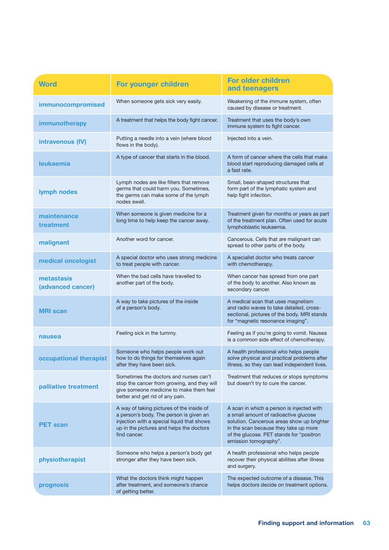| <b>Word</b>                     | For younger children                                                                                                                                                                           | <b>For older children</b><br>and teenagers                                                                                                                                                                                                     |
|---------------------------------|------------------------------------------------------------------------------------------------------------------------------------------------------------------------------------------------|------------------------------------------------------------------------------------------------------------------------------------------------------------------------------------------------------------------------------------------------|
| immunocompromised               | When someone gets sick very easily.                                                                                                                                                            | Weakening of the immune system, often<br>caused by disease or treatment.                                                                                                                                                                       |
| immunotherapy                   | A treatment that helps the body fight cancer.                                                                                                                                                  | Treatment that uses the body's own<br>immune system to fight cancer.                                                                                                                                                                           |
| intravenous (IV)                | Putting a needle into a vein (where blood<br>flows in the body).                                                                                                                               | Injected into a vein.                                                                                                                                                                                                                          |
| <b>leukaemia</b>                | A type of cancer that starts in the blood.                                                                                                                                                     | A form of cancer where the cells that make<br>blood start reproducing damaged cells at<br>a fast rate.                                                                                                                                         |
| lymph nodes                     | Lymph nodes are like filters that remove<br>germs that could harm you. Sometimes,<br>the germs can make some of the lymph<br>nodes swell.                                                      | Small, bean-shaped structures that<br>form part of the lymphatic system and<br>help fight infection.                                                                                                                                           |
| maintenance<br>treatment        | When someone is given medicine for a<br>long time to help keep the cancer away.                                                                                                                | Treatment given for months or years as part<br>of the treatment plan. Often used for acute<br>lymphoblastic leukaemia.                                                                                                                         |
| malignant                       | Another word for cancer.                                                                                                                                                                       | Cancerous. Cells that are malignant can<br>spread to other parts of the body.                                                                                                                                                                  |
| medical oncologist              | A special doctor who uses strong medicine<br>to treat people with cancer.                                                                                                                      | A specialist doctor who treats cancer<br>with chemotherapy.                                                                                                                                                                                    |
| metastasis<br>(advanced cancer) | When the bad cells have travelled to<br>another part of the body.                                                                                                                              | When cancer has spread from one part<br>of the body to another. Also known as<br>secondary cancer.                                                                                                                                             |
| <b>MRI</b> scan                 | A way to take pictures of the inside<br>of a person's body.                                                                                                                                    | A medical scan that uses magnetism<br>and radio waves to take detailed, cross-<br>sectional, pictures of the body. MRI stands<br>for "magnetic resonance imaging".                                                                             |
| nausea                          | Feeling sick in the tummy.                                                                                                                                                                     | Feeling as if you're going to vomit. Nausea<br>is a common side effect of chemotherapy.                                                                                                                                                        |
| occupational therapist          | Someone who helps people work out<br>how to do things for themselves again<br>after they have been sick.                                                                                       | A health professional who helps people<br>solve physical and practical problems after<br>illness, so they can lead independent lives.                                                                                                          |
| palliative treatment            | Sometimes the doctors and nurses can't<br>stop the cancer from growing, and they will<br>give someone medicine to make them feel<br>better and get rid of any pain.                            | Treatment that reduces or stops symptoms<br>but doesn't try to cure the cancer.                                                                                                                                                                |
| <b>PET scan</b>                 | A way of taking pictures of the inside of<br>a person's body. The person is given an<br>injection with a special liquid that shows<br>up in the pictures and helps the doctors<br>find cancer. | A scan in which a person is injected with<br>a small amount of radioactive glucose<br>solution. Cancerous areas show up brighter<br>in the scan because they take up more<br>of the glucose. PET stands for "positron<br>emission tomography". |
| physiotherapist                 | Someone who helps a person's body get<br>stronger after they have been sick.                                                                                                                   | A health professional who helps people<br>recover their physical abilities after illness<br>and surgery.                                                                                                                                       |
| prognosis                       | What the doctors think might happen<br>after treatment, and someone's chance<br>of getting better.                                                                                             | The expected outcome of a disease. This<br>helps doctors decide on treatment options.                                                                                                                                                          |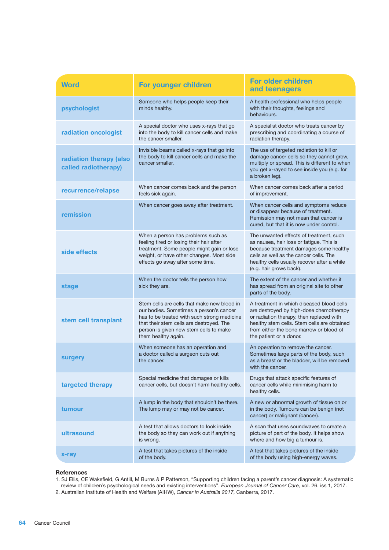| <b>Word</b>                                     | For younger children                                                                                                                                                                                                                               | <b>For older children</b><br>and teenagers                                                                                                                                                                                                            |
|-------------------------------------------------|----------------------------------------------------------------------------------------------------------------------------------------------------------------------------------------------------------------------------------------------------|-------------------------------------------------------------------------------------------------------------------------------------------------------------------------------------------------------------------------------------------------------|
| psychologist                                    | Someone who helps people keep their<br>minds healthy.                                                                                                                                                                                              | A health professional who helps people<br>with their thoughts, feelings and<br>behaviours.                                                                                                                                                            |
| radiation oncologist                            | A special doctor who uses x-rays that go<br>into the body to kill cancer cells and make<br>the cancer smaller.                                                                                                                                     | A specialist doctor who treats cancer by<br>prescribing and coordinating a course of<br>radiation therapy.                                                                                                                                            |
| radiation therapy (also<br>called radiotherapy) | Invisible beams called x-rays that go into<br>the body to kill cancer cells and make the<br>cancer smaller.                                                                                                                                        | The use of targeted radiation to kill or<br>damage cancer cells so they cannot grow,<br>multiply or spread. This is different to when<br>you get x-rayed to see inside you (e.g. for<br>a broken leg).                                                |
| recurrence/relapse                              | When cancer comes back and the person<br>feels sick again.                                                                                                                                                                                         | When cancer comes back after a period<br>of improvement.                                                                                                                                                                                              |
| remission                                       | When cancer goes away after treatment.                                                                                                                                                                                                             | When cancer cells and symptoms reduce<br>or disappear because of treatment.<br>Remission may not mean that cancer is<br>cured, but that it is now under control.                                                                                      |
| side effects                                    | When a person has problems such as<br>feeling tired or losing their hair after<br>treatment. Some people might gain or lose<br>weight, or have other changes. Most side<br>effects go away after some time.                                        | The unwanted effects of treatment, such<br>as nausea, hair loss or fatigue. This is<br>because treatment damages some healthy<br>cells as well as the cancer cells. The<br>healthy cells usually recover after a while<br>(e.g. hair grows back).     |
| <b>stage</b>                                    | When the doctor tells the person how<br>sick they are.                                                                                                                                                                                             | The extent of the cancer and whether it<br>has spread from an original site to other<br>parts of the body.                                                                                                                                            |
| stem cell transplant                            | Stem cells are cells that make new blood in<br>our bodies. Sometimes a person's cancer<br>has to be treated with such strong medicine<br>that their stem cells are destroyed. The<br>person is given new stem cells to make<br>them healthy again. | A treatment in which diseased blood cells<br>are destroyed by high-dose chemotherapy<br>or radiation therapy, then replaced with<br>healthy stem cells. Stem cells are obtained<br>from either the bone marrow or blood of<br>the patient or a donor. |
| surgery                                         | When someone has an operation and<br>a doctor called a surgeon cuts out<br>the cancer.                                                                                                                                                             | An operation to remove the cancer.<br>Sometimes large parts of the body, such<br>as a breast or the bladder, will be removed<br>with the cancer.                                                                                                      |
| targeted therapy                                | Special medicine that damages or kills<br>cancer cells, but doesn't harm healthy cells.                                                                                                                                                            | Drugs that attack specific features of<br>cancer cells while minimising harm to<br>healthy cells.                                                                                                                                                     |
| tumour                                          | A lump in the body that shouldn't be there.<br>The lump may or may not be cancer.                                                                                                                                                                  | A new or abnormal growth of tissue on or<br>in the body. Tumours can be benign (not<br>cancer) or malignant (cancer).                                                                                                                                 |
| ultrasound                                      | A test that allows doctors to look inside<br>the body so they can work out if anything<br>is wrong.                                                                                                                                                | A scan that uses soundwaves to create a<br>picture of part of the body. It helps show<br>where and how big a tumour is.                                                                                                                               |
| x-ray                                           | A test that takes pictures of the inside<br>of the body.                                                                                                                                                                                           | A test that takes pictures of the inside<br>of the body using high-energy waves.                                                                                                                                                                      |

#### **References**

1. SJ Ellis, CE Wakefield, G Antill, M Burns & P Patterson, "Supporting children facing a parent's cancer diagnosis: A systematic review of children's psychological needs and existing interventions", *European Journal of Cancer Care*, vol. 26, iss 1, 2017. 2. Australian Institute of Health and Welfare (AIHW), *Cancer in Australia 2017*, Canberra, 2017.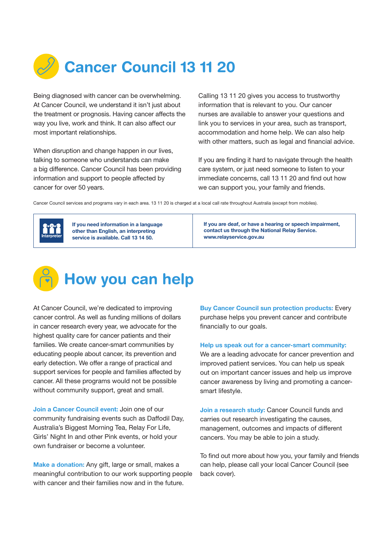

Being diagnosed with cancer can be overwhelming. At Cancer Council, we understand it isn't just about the treatment or prognosis. Having cancer affects the way you live, work and think. It can also affect our most important relationships.

When disruption and change happen in our lives, talking to someone who understands can make a big difference. Cancer Council has been providing information and support to people affected by cancer for over 50 years.

Calling 13 11 20 gives you access to trustworthy information that is relevant to you. Our cancer nurses are available to answer your questions and link you to services in your area, such as transport, accommodation and home help. We can also help with other matters, such as legal and financial advice.

If you are finding it hard to navigate through the health care system, or just need someone to listen to your immediate concerns, call 13 11 20 and find out how we can support you, your family and friends.

Cancer Council services and programs vary in each area. 13 11 20 is charged at a local call rate throughout Australia (except from mobiles).



If you need information in a language other than English, an interpreting service is available. Call 13 14 50.

If you are deaf, or have a hearing or speech impairment, contact us through the National Relay Service. <www.relayservice.gov.au>



At Cancer Council, we're dedicated to improving cancer control. As well as funding millions of dollars in cancer research every year, we advocate for the highest quality care for cancer patients and their families. We create cancer-smart communities by educating people about cancer, its prevention and early detection. We offer a range of practical and support services for people and families affected by cancer. All these programs would not be possible without community support, great and small.

Join a Cancer Council event: Join one of our community fundraising events such as Daffodil Day, Australia's Biggest Morning Tea, Relay For Life, Girls' Night In and other Pink events, or hold your own fundraiser or become a volunteer.

Make a donation: Any gift, large or small, makes a meaningful contribution to our work supporting people with cancer and their families now and in the future.

Buy Cancer Council sun protection products: Every purchase helps you prevent cancer and contribute financially to our goals.

Help us speak out for a cancer-smart community:

We are a leading advocate for cancer prevention and improved patient services. You can help us speak out on important cancer issues and help us improve cancer awareness by living and promoting a cancersmart lifestyle.

Join a research study: Cancer Council funds and carries out research investigating the causes, management, outcomes and impacts of different cancers. You may be able to join a study.

To find out more about how you, your family and friends can help, please call your local Cancer Council (see back cover).